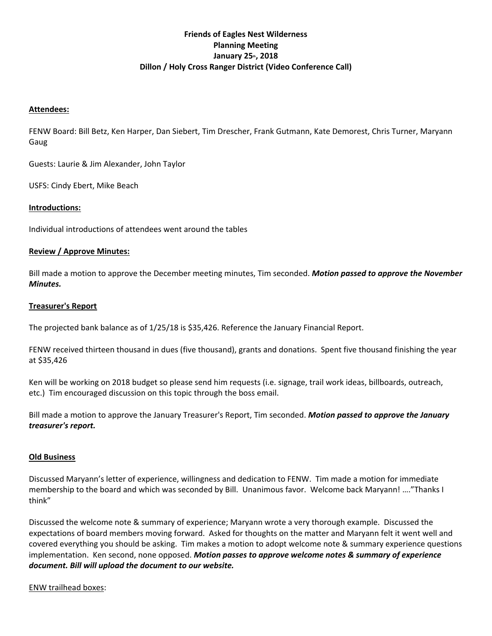### **Friends of Eagles Nest Wilderness Planning Meeting**  January 25<sup>th</sup>, 2018 **Dillon / Holy Cross Ranger District (Video Conference Call)**

#### **Attendees:**

FENW Board: Bill Betz, Ken Harper, Dan Siebert, Tim Drescher, Frank Gutmann, Kate Demorest, Chris Turner, Maryann Gaug

Guests: Laurie & Jim Alexander, John Taylor

USFS: Cindy Ebert, Mike Beach

#### **Introductions:**

Individual introductions of attendees went around the tables

#### **Review / Approve Minutes:**

Bill made a motion to approve the December meeting minutes, Tim seconded. *Motion passed to approve the November Minutes.* 

#### **Treasurer's Report**

The projected bank balance as of 1/25/18 is \$35,426. Reference the January Financial Report.

FENW received thirteen thousand in dues (five thousand), grants and donations. Spent five thousand finishing the year at \$35,426

Ken will be working on 2018 budget so please send him requests (i.e. signage, trail work ideas, billboards, outreach, etc.) Tim encouraged discussion on this topic through the boss email.

Bill made a motion to approve the January Treasurer's Report, Tim seconded. *Motion passed to approve the January treasurer's report.* 

#### **Old Business**

Discussed Maryann's letter of experience, willingness and dedication to FENW. Tim made a motion for immediate membership to the board and which was seconded by Bill. Unanimous favor. Welcome back Maryann! …."Thanks I think"

Discussed the welcome note & summary of experience; Maryann wrote a very thorough example. Discussed the expectations of board members moving forward. Asked for thoughts on the matter and Maryann felt it went well and covered everything you should be asking. Tim makes a motion to adopt welcome note & summary experience questions implementation. Ken second, none opposed. *Motion passes to approve welcome notes & summary of experience document. Bill will upload the document to our website.*

#### ENW trailhead boxes: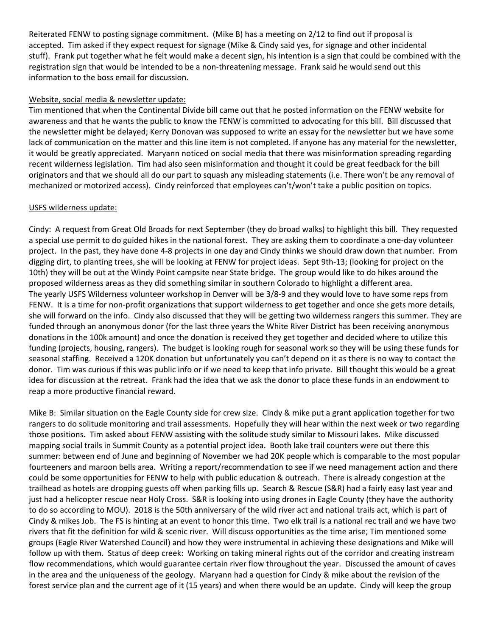Reiterated FENW to posting signage commitment. (Mike B) has a meeting on 2/12 to find out if proposal is accepted. Tim asked if they expect request for signage (Mike & Cindy said yes, for signage and other incidental stuff). Frank put together what he felt would make a decent sign, his intention is a sign that could be combined with the registration sign that would be intended to be a non‐threatening message. Frank said he would send out this information to the boss email for discussion.

#### Website, social media & newsletter update:

Tim mentioned that when the Continental Divide bill came out that he posted information on the FENW website for awareness and that he wants the public to know the FENW is committed to advocating for this bill. Bill discussed that the newsletter might be delayed; Kerry Donovan was supposed to write an essay for the newsletter but we have some lack of communication on the matter and this line item is not completed. If anyone has any material for the newsletter, it would be greatly appreciated. Maryann noticed on social media that there was misinformation spreading regarding recent wilderness legislation. Tim had also seen misinformation and thought it could be great feedback for the bill originators and that we should all do our part to squash any misleading statements (i.e. There won't be any removal of mechanized or motorized access). Cindy reinforced that employees can't/won't take a public position on topics.

### USFS wilderness update:

Cindy: A request from Great Old Broads for next September (they do broad walks) to highlight this bill. They requested a special use permit to do guided hikes in the national forest. They are asking them to coordinate a one‐day volunteer project. In the past, they have done 4‐8 projects in one day and Cindy thinks we should draw down that number. From digging dirt, to planting trees, she will be looking at FENW for project ideas. Sept 9th‐13; (looking for project on the 10th) they will be out at the Windy Point campsite near State bridge. The group would like to do hikes around the proposed wilderness areas as they did something similar in southern Colorado to highlight a different area. The yearly USFS Wilderness volunteer workshop in Denver will be 3/8‐9 and they would love to have some reps from FENW. It is a time for non-profit organizations that support wilderness to get together and once she gets more details, she will forward on the info. Cindy also discussed that they will be getting two wilderness rangers this summer. They are funded through an anonymous donor (for the last three years the White River District has been receiving anonymous donations in the 100k amount) and once the donation is received they get together and decided where to utilize this funding (projects, housing, rangers). The budget is looking rough for seasonal work so they will be using these funds for seasonal staffing. Received a 120K donation but unfortunately you can't depend on it as there is no way to contact the donor. Tim was curious if this was public info or if we need to keep that info private. Bill thought this would be a great idea for discussion at the retreat. Frank had the idea that we ask the donor to place these funds in an endowment to reap a more productive financial reward.

Mike B: Similar situation on the Eagle County side for crew size. Cindy & mike put a grant application together for two rangers to do solitude monitoring and trail assessments. Hopefully they will hear within the next week or two regarding those positions. Tim asked about FENW assisting with the solitude study similar to Missouri lakes. Mike discussed mapping social trails in Summit County as a potential project idea. Booth lake trail counters were out there this summer: between end of June and beginning of November we had 20K people which is comparable to the most popular fourteeners and maroon bells area. Writing a report/recommendation to see if we need management action and there could be some opportunities for FENW to help with public education & outreach. There is already congestion at the trailhead as hotels are dropping guests off when parking fills up. Search & Rescue (S&R) had a fairly easy last year and just had a helicopter rescue near Holy Cross. S&R is looking into using drones in Eagle County (they have the authority to do so according to MOU). 2018 is the 50th anniversary of the wild river act and national trails act, which is part of Cindy & mikes Job. The FS is hinting at an event to honor this time. Two elk trail is a national rec trail and we have two rivers that fit the definition for wild & scenic river. Will discuss opportunities as the time arise; Tim mentioned some groups (Eagle River Watershed Council) and how they were instrumental in achieving these designations and Mike will follow up with them. Status of deep creek: Working on taking mineral rights out of the corridor and creating instream flow recommendations, which would guarantee certain river flow throughout the year. Discussed the amount of caves in the area and the uniqueness of the geology. Maryann had a question for Cindy & mike about the revision of the forest service plan and the current age of it (15 years) and when there would be an update. Cindy will keep the group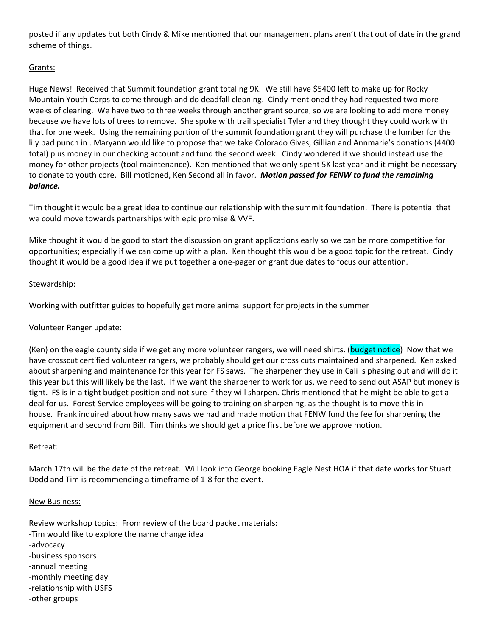posted if any updates but both Cindy & Mike mentioned that our management plans aren't that out of date in the grand scheme of things.

### Grants:

Huge News! Received that Summit foundation grant totaling 9K. We still have \$5400 left to make up for Rocky Mountain Youth Corps to come through and do deadfall cleaning. Cindy mentioned they had requested two more weeks of clearing. We have two to three weeks through another grant source, so we are looking to add more money because we have lots of trees to remove. She spoke with trail specialist Tyler and they thought they could work with that for one week. Using the remaining portion of the summit foundation grant they will purchase the lumber for the lily pad punch in . Maryann would like to propose that we take Colorado Gives, Gillian and Annmarie's donations (4400 total) plus money in our checking account and fund the second week. Cindy wondered if we should instead use the money for other projects (tool maintenance). Ken mentioned that we only spent 5K last year and it might be necessary to donate to youth core. Bill motioned, Ken Second all in favor. *Motion passed for FENW to fund the remaining balance.* 

Tim thought it would be a great idea to continue our relationship with the summit foundation. There is potential that we could move towards partnerships with epic promise & VVF.

Mike thought it would be good to start the discussion on grant applications early so we can be more competitive for opportunities; especially if we can come up with a plan. Ken thought this would be a good topic for the retreat. Cindy thought it would be a good idea if we put together a one‐pager on grant due dates to focus our attention.

### Stewardship:

Working with outfitter guides to hopefully get more animal support for projects in the summer

#### Volunteer Ranger update:

(Ken) on the eagle county side if we get any more volunteer rangers, we will need shirts. (budget notice) Now that we have crosscut certified volunteer rangers, we probably should get our cross cuts maintained and sharpened. Ken asked about sharpening and maintenance for this year for FS saws. The sharpener they use in Cali is phasing out and will do it this year but this will likely be the last. If we want the sharpener to work for us, we need to send out ASAP but money is tight. FS is in a tight budget position and not sure if they will sharpen. Chris mentioned that he might be able to get a deal for us. Forest Service employees will be going to training on sharpening, as the thought is to move this in house. Frank inquired about how many saws we had and made motion that FENW fund the fee for sharpening the equipment and second from Bill. Tim thinks we should get a price first before we approve motion.

#### Retreat:

March 17th will be the date of the retreat. Will look into George booking Eagle Nest HOA if that date works for Stuart Dodd and Tim is recommending a timeframe of 1‐8 for the event.

#### New Business:

Review workshop topics: From review of the board packet materials: ‐Tim would like to explore the name change idea ‐advocacy ‐business sponsors ‐annual meeting ‐monthly meeting day ‐relationship with USFS ‐other groups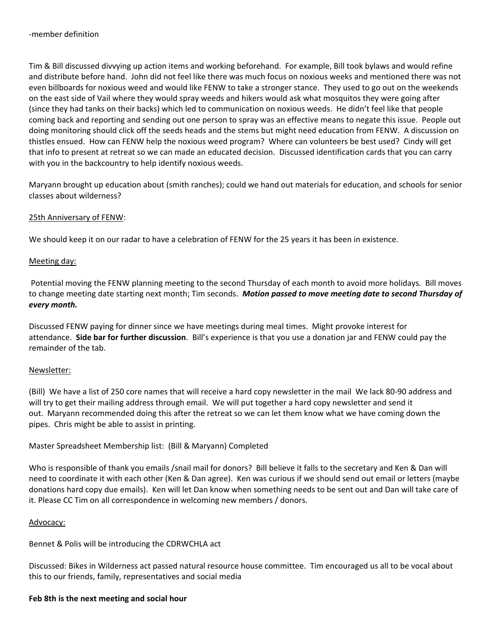Tim & Bill discussed divvying up action items and working beforehand. For example, Bill took bylaws and would refine and distribute before hand. John did not feel like there was much focus on noxious weeks and mentioned there was not even billboards for noxious weed and would like FENW to take a stronger stance. They used to go out on the weekends on the east side of Vail where they would spray weeds and hikers would ask what mosquitos they were going after (since they had tanks on their backs) which led to communication on noxious weeds. He didn't feel like that people coming back and reporting and sending out one person to spray was an effective means to negate this issue. People out doing monitoring should click off the seeds heads and the stems but might need education from FENW. A discussion on thistles ensued. How can FENW help the noxious weed program? Where can volunteers be best used? Cindy will get that info to present at retreat so we can made an educated decision. Discussed identification cards that you can carry with you in the backcountry to help identify noxious weeds.

Maryann brought up education about (smith ranches); could we hand out materials for education, and schools for senior classes about wilderness?

#### 25th Anniversary of FENW:

We should keep it on our radar to have a celebration of FENW for the 25 years it has been in existence.

#### Meeting day:

 Potential moving the FENW planning meeting to the second Thursday of each month to avoid more holidays. Bill moves to change meeting date starting next month; Tim seconds. *Motion passed to move meeting date to second Thursday of every month.*

Discussed FENW paying for dinner since we have meetings during meal times. Might provoke interest for attendance. **Side bar for further discussion**. Bill's experience is that you use a donation jar and FENW could pay the remainder of the tab.

#### Newsletter:

(Bill) We have a list of 250 core names that will receive a hard copy newsletter in the mail We lack 80‐90 address and will try to get their mailing address through email. We will put together a hard copy newsletter and send it out. Maryann recommended doing this after the retreat so we can let them know what we have coming down the pipes. Chris might be able to assist in printing.

Master Spreadsheet Membership list: (Bill & Maryann) Completed

Who is responsible of thank you emails /snail mail for donors? Bill believe it falls to the secretary and Ken & Dan will need to coordinate it with each other (Ken & Dan agree). Ken was curious if we should send out email or letters (maybe donations hard copy due emails). Ken will let Dan know when something needs to be sent out and Dan will take care of it. Please CC Tim on all correspondence in welcoming new members / donors.

#### Advocacy:

Bennet & Polis will be introducing the CDRWCHLA act

Discussed: Bikes in Wilderness act passed natural resource house committee. Tim encouraged us all to be vocal about this to our friends, family, representatives and social media

### **Feb 8th is the next meeting and social hour**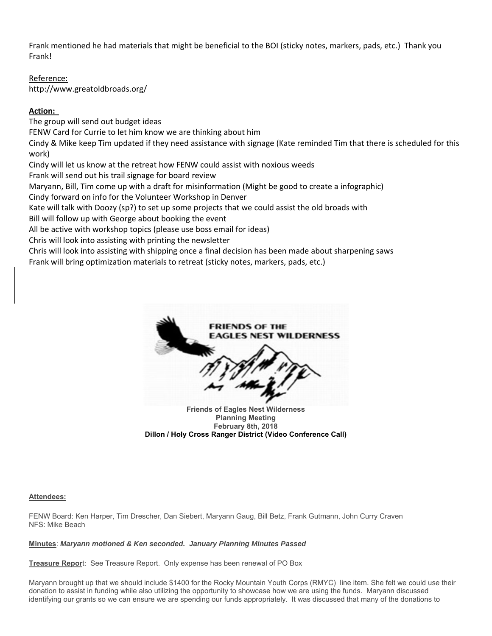Frank mentioned he had materials that might be beneficial to the BOI (sticky notes, markers, pads, etc.) Thank you Frank!

Reference: http://www.greatoldbroads.org/

### **Action:**

The group will send out budget ideas FENW Card for Currie to let him know we are thinking about him Cindy & Mike keep Tim updated if they need assistance with signage (Kate reminded Tim that there is scheduled for this work) Cindy will let us know at the retreat how FENW could assist with noxious weeds Frank will send out his trail signage for board review Maryann, Bill, Tim come up with a draft for misinformation (Might be good to create a infographic) Cindy forward on info for the Volunteer Workshop in Denver Kate will talk with Doozy (sp?) to set up some projects that we could assist the old broads with Bill will follow up with George about booking the event

All be active with workshop topics (please use boss email for ideas)

Chris will look into assisting with printing the newsletter

Chris will look into assisting with shipping once a final decision has been made about sharpening saws Frank will bring optimization materials to retreat (sticky notes, markers, pads, etc.)



**Planning Meeting February 8th, 2018 Dillon / Holy Cross Ranger District (Video Conference Call)**

#### **Attendees:**

FENW Board: Ken Harper, Tim Drescher, Dan Siebert, Maryann Gaug, Bill Betz, Frank Gutmann, John Curry Craven NFS: Mike Beach

#### **Minutes**: *Maryann motioned & Ken seconded. January Planning Minutes Passed*

**Treasure Repor**t: See Treasure Report. Only expense has been renewal of PO Box

Maryann brought up that we should include \$1400 for the Rocky Mountain Youth Corps (RMYC) line item. She felt we could use their donation to assist in funding while also utilizing the opportunity to showcase how we are using the funds. Maryann discussed identifying our grants so we can ensure we are spending our funds appropriately. It was discussed that many of the donations to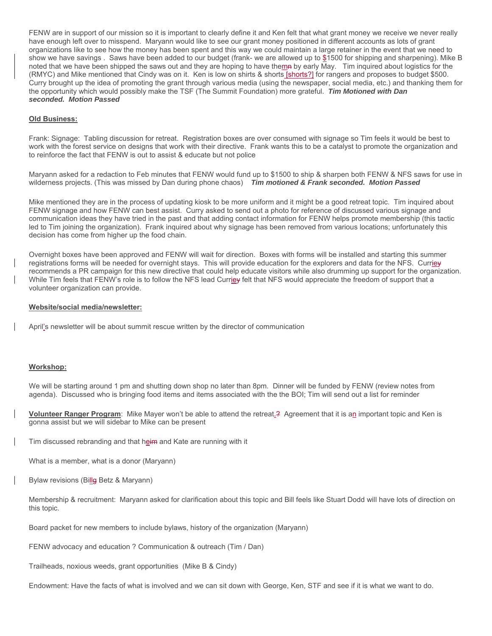FENW are in support of our mission so it is important to clearly define it and Ken felt that what grant money we receive we never really have enough left over to misspend. Maryann would like to see our grant money positioned in different accounts as lots of grant organizations like to see how the money has been spent and this way we could maintain a large retainer in the event that we need to show we have savings. Saws have been added to our budget (frank- we are allowed up to \$1500 for shipping and sharpening). Mike B noted that we have been shipped the saws out and they are hoping to have themn by early May. Tim inquired about logistics for the (RMYC) and Mike mentioned that Cindy was on it. Ken is low on shirts & shorts [shorts?] for rangers and proposes to budget \$500. Curry brought up the idea of promoting the grant through various media (using the newspaper, social media, etc.) and thanking them for the opportunity which would possibly make the TSF (The Summit Foundation) more grateful. *Tim Motioned with Dan seconded. Motion Passed*

#### **Old Business:**

Frank: Signage: Tabling discussion for retreat. Registration boxes are over consumed with signage so Tim feels it would be best to work with the forest service on designs that work with their directive. Frank wants this to be a catalyst to promote the organization and to reinforce the fact that FENW is out to assist & educate but not police

Maryann asked for a redaction to Feb minutes that FENW would fund up to \$1500 to ship & sharpen both FENW & NFS saws for use in wilderness projects. (This was missed by Dan during phone chaos) *Tim motioned & Frank seconded. Motion Passed*

Mike mentioned they are in the process of updating kiosk to be more uniform and it might be a good retreat topic. Tim inquired about FENW signage and how FENW can best assist. Curry asked to send out a photo for reference of discussed various signage and communication ideas they have tried in the past and that adding contact information for FENW helps promote membership (this tactic led to Tim joining the organization). Frank inquired about why signage has been removed from various locations; unfortunately this decision has come from higher up the food chain.

Overnight boxes have been approved and FENW will wait for direction. Boxes with forms will be installed and starting this summer registrations forms will be needed for overnight stays. This will provide education for the explorers and data for the NFS. Curriey recommends a PR campaign for this new directive that could help educate visitors while also drumming up support for the organization. While Tim feels that FENW's role is to follow the NFS lead Currie v felt that NFS would appreciate the freedom of support that a volunteer organization can provide.

#### **Website/social media/newsletter:**

April's newsletter will be about summit rescue written by the director of communication

#### **Workshop:**

We will be starting around 1 pm and shutting down shop no later than 8pm. Dinner will be funded by FENW (review notes from agenda). Discussed who is bringing food items and items associated with the the BOI; Tim will send out a list for reminder

**Volunteer Ranger Program**: Mike Mayer won't be able to attend the retreat.? Agreement that it is an important topic and Ken is gonna assist but we will sidebar to Mike can be present

Tim discussed rebranding and that heim and Kate are running with it

What is a member, what is a donor (Maryann)

Bylaw revisions (Bille Betz & Maryann)

Membership & recruitment: Maryann asked for clarification about this topic and Bill feels like Stuart Dodd will have lots of direction on this topic.

Board packet for new members to include bylaws, history of the organization (Maryann)

FENW advocacy and education ? Communication & outreach (Tim / Dan)

Trailheads, noxious weeds, grant opportunities (Mike B & Cindy)

Endowment: Have the facts of what is involved and we can sit down with George, Ken, STF and see if it is what we want to do.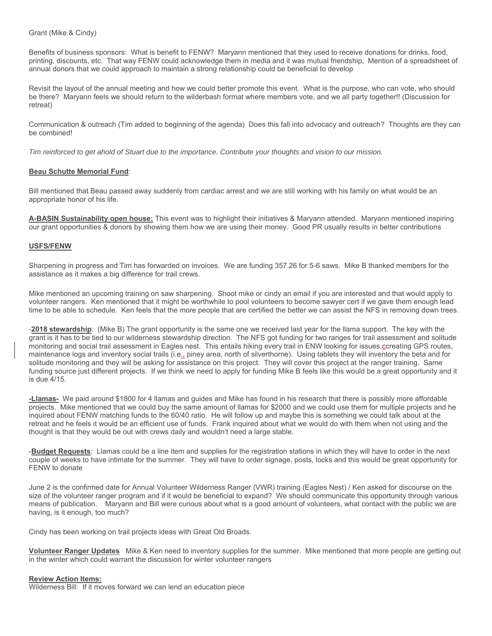Grant (Mike & Cindy)

Benefits of business sponsors: What is benefit to FENW? Maryann mentioned that they used to receive donations for drinks, food, printing, discounts, etc. That way FENW could acknowledge them in media and it was mutual friendship, Mention of a spreadsheet of annual donors that we could approach to maintain a strong relationship could be beneficial to develop

Revisit the layout of the annual meeting and how we could better promote this event. What is the purpose, who can vote, who should be there? Maryann feels we should return to the wilderbash format where members vote, and we all party together!! (Discussion for retreat)

Communication & outreach (Tim added to beginning of the agenda) Does this fall into advocacy and outreach? Thoughts are they can be combined!

*Tim reinforced to get ahold of Stuart due to the importance. Contribute your thoughts and vision to our mission.* 

#### **Beau Schutte Memorial Fund**:

Bill mentioned that Beau passed away suddenly from cardiac arrest and we are still working with his family on what would be an appropriate honor of his life.

**A-BASIN Sustainability open house:** This event was to highlight their initiatives & Maryann attended. Maryann mentioned inspiring our grant opportunities & donors by showing them how we are using their money. Good PR usually results in better contributions

#### **USFS/FENW**

Sharpening in progress and Tim has forwarded on invoices. We are funding 357.26 for 5-6 saws. Mike B thanked members for the assistance as it makes a big difference for trail crews.

Mike mentioned an upcoming training on saw sharpening. Shoot mike or cindy an email if you are interested and that would apply to volunteer rangers. Ken mentioned that it might be worthwhile to pool volunteers to become sawyer cert if we gave them enough lead time to be able to schedule. Ken feels that the more people that are certified the better we can assist the NFS in removing down trees.

-**2018 stewardship**: (Mike B) The grant opportunity is the same one we received last year for the llama support. The key with the grant is it has to be tied to our wilderness stewardship direction. The NFS got funding for two ranges for trail assessment and solitude monitoring and social trail assessment in Eagles nest. This entails hiking every trail in ENW looking for issues, ccreating GPS routes, maintenance logs and inventory social trails (i.e., piney area, north of silverthorne). Using tablets they will inventory the beta and for solitude monitoring and they will be asking for assistance on this project. They will cover this project at the ranger training. Same funding source just different projects. If we think we need to apply for funding Mike B feels like this would be a great opportunity and it is due 4/15.

**-Llamas-** We paid around \$1800 for 4 llamas and guides and Mike has found in his research that there is possibly more affordable projects. Mike mentioned that we could buy the same amount of llamas for \$2000 and we could use them for multiple projects and he inquired about FENW matching funds to the 60/40 ratio. He will follow up and maybe this is something we could talk about at the retreat and he feels it would be an efficient use of funds. Frank inquired about what we would do with them when not using and the thought is that they would be out with crews daily and wouldn't need a large stable.

-**Budget Requests**: Llamas could be a line item and supplies for the registration stations in which they will have to order in the next couple of weeks to have intimate for the summer. They will have to order signage, posts, locks and this would be great opportunity for FENW to donate

June 2 is the confirmed date for Annual Volunteer Wilderness Ranger (VWR) training (Eagles Nest) / Ken asked for discourse on the size of the volunteer ranger program and if it would be beneficial to expand? We should communicate this opportunity through various means of publication. Maryann and Bill were curious about what is a good amount of volunteers, what contact with the public we are having, is it enough, too much?

Cindy has been working on trail projects ideas with Great Old Broads.

**Volunteer Ranger Updates** Mike & Ken need to inventory supplies for the summer. Mike mentioned that more people are getting out in the winter which could warrant the discussion for winter volunteer rangers

#### **Review Action Items:**

Wilderness Bill: If it moves forward we can lend an education piece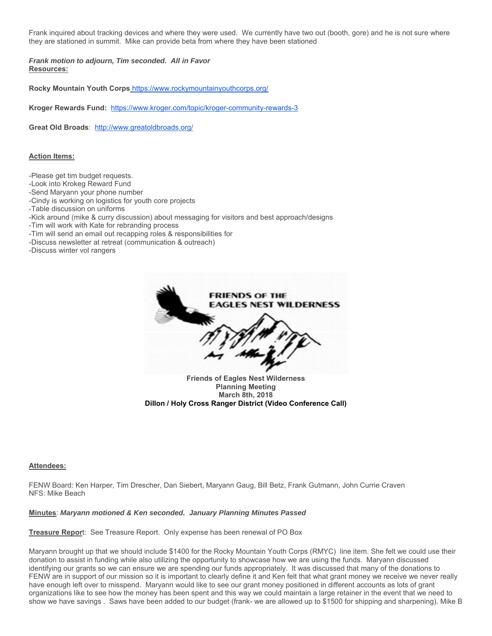Frank inquired about tracking devices and where they were used. We currently have two out (booth, gore) and he is not sure where they are stationed in summit. Mike can provide beta from where they have been stationed

*Frank motion to adjourn, Tim seconded. All in Favor* **Resources:**

**Rocky Mountain Youth Corps** https://www.rockymountainyouthcorps.org/

**Kroger Rewards Fund:** https://www.kroger.com/topic/kroger-community-rewards-3

**Great Old Broads**: http://www.greatoldbroads.org/

#### **Action Items:**

-Please get tim budget requests.

-Look into Krokeg Reward Fund

-Send Maryann your phone number

-Cindy is working on logistics for youth core projects

-Table discussion on uniforms

-Kick around (mike & curry discussion) about messaging for visitors and best approach/designs

-Tim will work with Kate for rebranding process

-Tim will send an email out recapping roles & responsibilities for

-Discuss newsletter at retreat (communication & outreach)

-Discuss winter vol rangers



**March 8th, 2018 Dillon / Holy Cross Ranger District (Video Conference Call)**

#### **Attendees:**

FENW Board: Ken Harper, Tim Drescher, Dan Siebert, Maryann Gaug, Bill Betz, Frank Gutmann, John Currie Craven NFS: Mike Beach

#### **Minutes**: *Maryann motioned & Ken seconded. January Planning Minutes Passed*

**Treasure Repor**t: See Treasure Report. Only expense has been renewal of PO Box

Maryann brought up that we should include \$1400 for the Rocky Mountain Youth Corps (RMYC) line item. She felt we could use their donation to assist in funding while also utilizing the opportunity to showcase how we are using the funds. Maryann discussed identifying our grants so we can ensure we are spending our funds appropriately. It was discussed that many of the donations to FENW are in support of our mission so it is important to clearly define it and Ken felt that what grant money we receive we never really have enough left over to misspend. Maryann would like to see our grant money positioned in different accounts as lots of grant organizations like to see how the money has been spent and this way we could maintain a large retainer in the event that we need to show we have savings . Saws have been added to our budget (frank- we are allowed up to \$1500 for shipping and sharpening). Mike B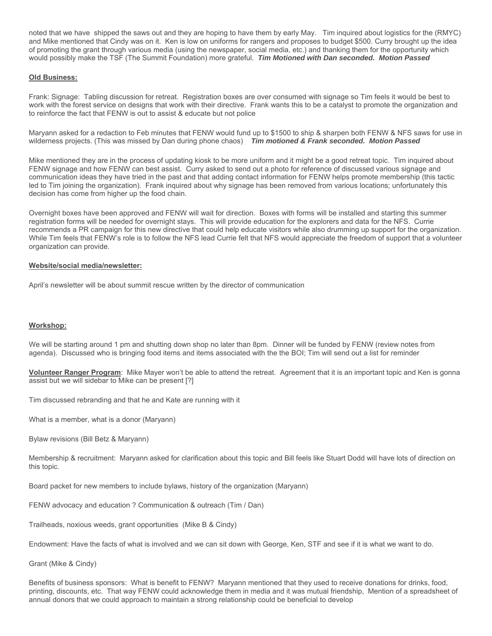noted that we have shipped the saws out and they are hoping to have them by early May. Tim inquired about logistics for the (RMYC) and Mike mentioned that Cindy was on it. Ken is low on uniforms for rangers and proposes to budget \$500. Curry brought up the idea of promoting the grant through various media (using the newspaper, social media, etc.) and thanking them for the opportunity which would possibly make the TSF (The Summit Foundation) more grateful. *Tim Motioned with Dan seconded. Motion Passed*

#### **Old Business:**

Frank: Signage: Tabling discussion for retreat. Registration boxes are over consumed with signage so Tim feels it would be best to work with the forest service on designs that work with their directive. Frank wants this to be a catalyst to promote the organization and to reinforce the fact that FENW is out to assist & educate but not police

Maryann asked for a redaction to Feb minutes that FENW would fund up to \$1500 to ship & sharpen both FENW & NFS saws for use in wilderness projects. (This was missed by Dan during phone chaos) *Tim motioned & Frank seconded. Motion Passed*

Mike mentioned they are in the process of updating kiosk to be more uniform and it might be a good retreat topic. Tim inquired about FENW signage and how FENW can best assist. Curry asked to send out a photo for reference of discussed various signage and communication ideas they have tried in the past and that adding contact information for FENW helps promote membership (this tactic led to Tim joining the organization). Frank inquired about why signage has been removed from various locations; unfortunately this decision has come from higher up the food chain.

Overnight boxes have been approved and FENW will wait for direction. Boxes with forms will be installed and starting this summer registration forms will be needed for overnight stays. This will provide education for the explorers and data for the NFS. Currie recommends a PR campaign for this new directive that could help educate visitors while also drumming up support for the organization. While Tim feels that FENW's role is to follow the NFS lead Currie felt that NFS would appreciate the freedom of support that a volunteer organization can provide.

#### **Website/social media/newsletter:**

April's newsletter will be about summit rescue written by the director of communication

#### **Workshop:**

We will be starting around 1 pm and shutting down shop no later than 8pm. Dinner will be funded by FENW (review notes from agenda). Discussed who is bringing food items and items associated with the the BOI; Tim will send out a list for reminder

**Volunteer Ranger Program**: Mike Mayer won't be able to attend the retreat. Agreement that it is an important topic and Ken is gonna assist but we will sidebar to Mike can be present [?]

Tim discussed rebranding and that he and Kate are running with it

What is a member, what is a donor (Maryann)

Bylaw revisions (Bill Betz & Maryann)

Membership & recruitment: Maryann asked for clarification about this topic and Bill feels like Stuart Dodd will have lots of direction on this topic.

Board packet for new members to include bylaws, history of the organization (Maryann)

FENW advocacy and education ? Communication & outreach (Tim / Dan)

Trailheads, noxious weeds, grant opportunities (Mike B & Cindy)

Endowment: Have the facts of what is involved and we can sit down with George, Ken, STF and see if it is what we want to do.

Grant (Mike & Cindy)

Benefits of business sponsors: What is benefit to FENW? Maryann mentioned that they used to receive donations for drinks, food, printing, discounts, etc. That way FENW could acknowledge them in media and it was mutual friendship, Mention of a spreadsheet of annual donors that we could approach to maintain a strong relationship could be beneficial to develop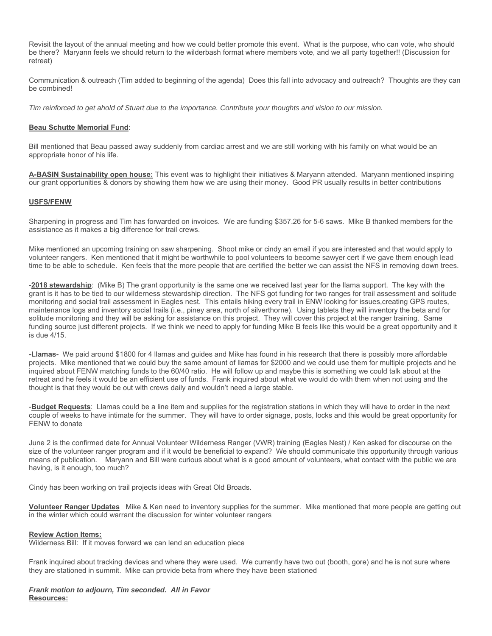Revisit the layout of the annual meeting and how we could better promote this event. What is the purpose, who can vote, who should be there? Maryann feels we should return to the wilderbash format where members vote, and we all party together!! (Discussion for retreat)

Communication & outreach (Tim added to beginning of the agenda) Does this fall into advocacy and outreach? Thoughts are they can be combined!

*Tim reinforced to get ahold of Stuart due to the importance. Contribute your thoughts and vision to our mission.* 

#### **Beau Schutte Memorial Fund**:

Bill mentioned that Beau passed away suddenly from cardiac arrest and we are still working with his family on what would be an appropriate honor of his life.

**A-BASIN Sustainability open house:** This event was to highlight their initiatives & Maryann attended. Maryann mentioned inspiring our grant opportunities & donors by showing them how we are using their money. Good PR usually results in better contributions

#### **USFS/FENW**

Sharpening in progress and Tim has forwarded on invoices. We are funding \$357.26 for 5-6 saws. Mike B thanked members for the assistance as it makes a big difference for trail crews.

Mike mentioned an upcoming training on saw sharpening. Shoot mike or cindy an email if you are interested and that would apply to volunteer rangers. Ken mentioned that it might be worthwhile to pool volunteers to become sawyer cert if we gave them enough lead time to be able to schedule. Ken feels that the more people that are certified the better we can assist the NFS in removing down trees.

-**2018 stewardship**: (Mike B) The grant opportunity is the same one we received last year for the llama support. The key with the grant is it has to be tied to our wilderness stewardship direction. The NFS got funding for two ranges for trail assessment and solitude monitoring and social trail assessment in Eagles nest. This entails hiking every trail in ENW looking for issues,creating GPS routes, maintenance logs and inventory social trails (i.e., piney area, north of silverthorne). Using tablets they will inventory the beta and for solitude monitoring and they will be asking for assistance on this project. They will cover this project at the ranger training. Same funding source just different projects. If we think we need to apply for funding Mike B feels like this would be a great opportunity and it is due 4/15.

**-Llamas-** We paid around \$1800 for 4 llamas and guides and Mike has found in his research that there is possibly more affordable projects. Mike mentioned that we could buy the same amount of llamas for \$2000 and we could use them for multiple projects and he inquired about FENW matching funds to the 60/40 ratio. He will follow up and maybe this is something we could talk about at the retreat and he feels it would be an efficient use of funds. Frank inquired about what we would do with them when not using and the thought is that they would be out with crews daily and wouldn't need a large stable.

-**Budget Requests**: Llamas could be a line item and supplies for the registration stations in which they will have to order in the next couple of weeks to have intimate for the summer. They will have to order signage, posts, locks and this would be great opportunity for FENW to donate

June 2 is the confirmed date for Annual Volunteer Wilderness Ranger (VWR) training (Eagles Nest) / Ken asked for discourse on the size of the volunteer ranger program and if it would be beneficial to expand? We should communicate this opportunity through various means of publication. Maryann and Bill were curious about what is a good amount of volunteers, what contact with the public we are having, is it enough, too much?

Cindy has been working on trail projects ideas with Great Old Broads.

**Volunteer Ranger Updates** Mike & Ken need to inventory supplies for the summer. Mike mentioned that more people are getting out in the winter which could warrant the discussion for winter volunteer rangers

#### **Review Action Items:**

Wilderness Bill: If it moves forward we can lend an education piece

Frank inquired about tracking devices and where they were used. We currently have two out (booth, gore) and he is not sure where they are stationed in summit. Mike can provide beta from where they have been stationed

*Frank motion to adjourn, Tim seconded. All in Favor* **Resources:**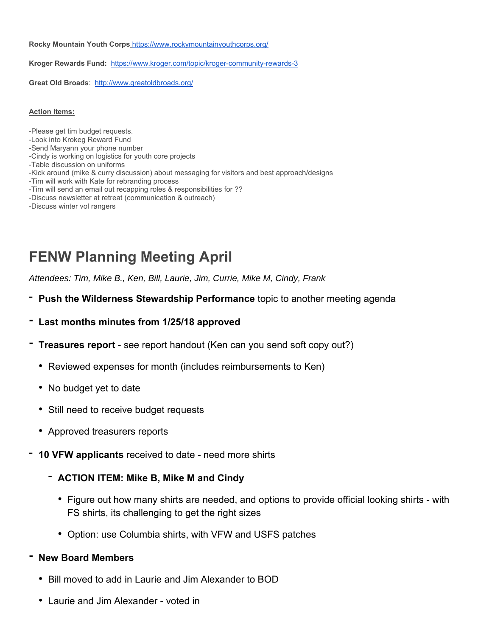**Rocky Mountain Youth Corps** https://www.rockymountainyouthcorps.org/

**Kroger Rewards Fund:** https://www.kroger.com/topic/kroger-community-rewards-3

**Great Old Broads**: http://www.greatoldbroads.org/

**Action Items:**

- -Please get tim budget requests. -Look into Krokeg Reward Fund -Send Maryann your phone number -Cindy is working on logistics for youth core projects -Table discussion on uniforms
- -Kick around (mike & curry discussion) about messaging for visitors and best approach/designs
- -Tim will work with Kate for rebranding process
- -Tim will send an email out recapping roles & responsibilities for ??
- -Discuss newsletter at retreat (communication & outreach)
- -Discuss winter vol rangers

# **FENW Planning Meeting April**

*Attendees: Tim, Mike B., Ken, Bill, Laurie, Jim, Currie, Mike M, Cindy, Frank* 

- **Push the Wilderness Stewardship Performance** topic to another meeting agenda
- **Last months minutes from 1/25/18 approved**
- **Treasures report**  see report handout (Ken can you send soft copy out?)
	- Reviewed expenses for month (includes reimbursements to Ken)
	- No budget yet to date
	- Still need to receive budget requests
	- Approved treasurers reports
- **10 VFW applicants** received to date need more shirts
	- **ACTION ITEM: Mike B, Mike M and Cindy**
		- Figure out how many shirts are needed, and options to provide official looking shirts with FS shirts, its challenging to get the right sizes
		- Option: use Columbia shirts, with VFW and USFS patches

### **- New Board Members**

- Bill moved to add in Laurie and Jim Alexander to BOD
- Laurie and Jim Alexander voted in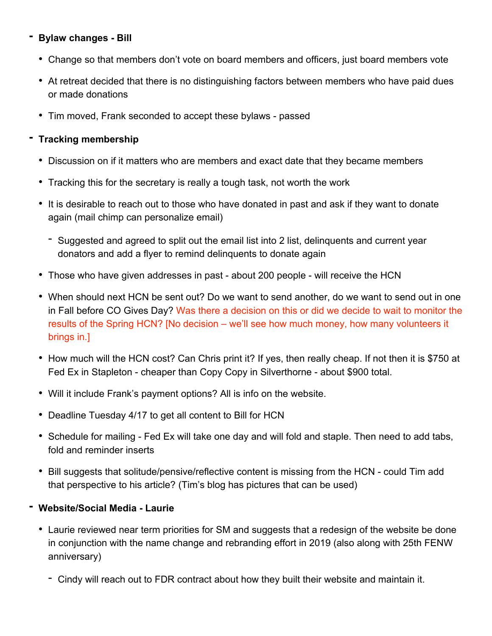### **- Bylaw changes - Bill**

- Change so that members don't vote on board members and officers, just board members vote
- At retreat decided that there is no distinguishing factors between members who have paid dues or made donations
- Tim moved, Frank seconded to accept these bylaws passed

### **- Tracking membership**

- Discussion on if it matters who are members and exact date that they became members
- Tracking this for the secretary is really a tough task, not worth the work
- It is desirable to reach out to those who have donated in past and ask if they want to donate again (mail chimp can personalize email)
	- Suggested and agreed to split out the email list into 2 list, delinquents and current year donators and add a flyer to remind delinquents to donate again
- Those who have given addresses in past about 200 people will receive the HCN
- When should next HCN be sent out? Do we want to send another, do we want to send out in one in Fall before CO Gives Day? Was there a decision on this or did we decide to wait to monitor the results of the Spring HCN? [No decision – we'll see how much money, how many volunteers it brings in.]
- How much will the HCN cost? Can Chris print it? If yes, then really cheap. If not then it is \$750 at Fed Ex in Stapleton - cheaper than Copy Copy in Silverthorne - about \$900 total.
- Will it include Frank's payment options? All is info on the website.
- Deadline Tuesday 4/17 to get all content to Bill for HCN
- Schedule for mailing Fed Ex will take one day and will fold and staple. Then need to add tabs, fold and reminder inserts
- Bill suggests that solitude/pensive/reflective content is missing from the HCN could Tim add that perspective to his article? (Tim's blog has pictures that can be used)
- **Website/Social Media Laurie** 
	- Laurie reviewed near term priorities for SM and suggests that a redesign of the website be done in conjunction with the name change and rebranding effort in 2019 (also along with 25th FENW anniversary)
		- Cindy will reach out to FDR contract about how they built their website and maintain it.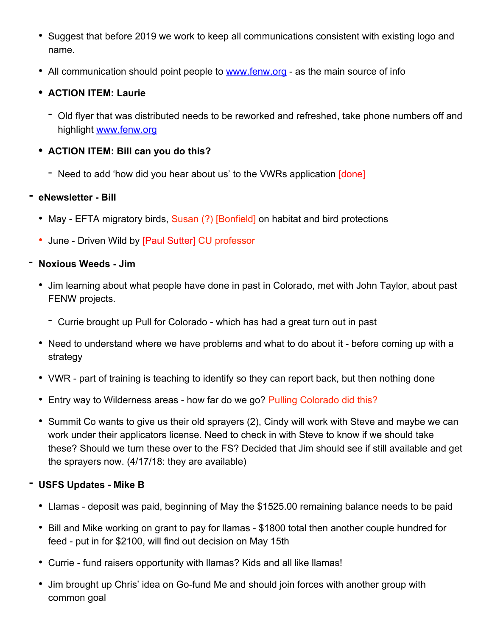- Suggest that before 2019 we work to keep all communications consistent with existing logo and name.
- All communication should point people to www.fenw.org as the main source of info

### **• ACTION ITEM: Laurie**

- Old flyer that was distributed needs to be reworked and refreshed, take phone numbers off and highlight www.fenw.org

### **• ACTION ITEM: Bill can you do this?**

- Need to add 'how did you hear about us' to the VWRs application [done]

### **- eNewsletter - Bill**

- May EFTA migratory birds, Susan (?) [Bonfield] on habitat and bird protections
- June Driven Wild by [Paul Sutter] CU professor

### - **Noxious Weeds - Jim**

- Jim learning about what people have done in past in Colorado, met with John Taylor, about past FENW projects.
	- Currie brought up Pull for Colorado which has had a great turn out in past
- Need to understand where we have problems and what to do about it before coming up with a strategy
- VWR part of training is teaching to identify so they can report back, but then nothing done
- Entry way to Wilderness areas how far do we go? Pulling Colorado did this?
- Summit Co wants to give us their old sprayers (2), Cindy will work with Steve and maybe we can work under their applicators license. Need to check in with Steve to know if we should take these? Should we turn these over to the FS? Decided that Jim should see if still available and get the sprayers now. (4/17/18: they are available)

### **- USFS Updates - Mike B**

- Llamas deposit was paid, beginning of May the \$1525.00 remaining balance needs to be paid
- Bill and Mike working on grant to pay for llamas \$1800 total then another couple hundred for feed - put in for \$2100, will find out decision on May 15th
- Currie fund raisers opportunity with llamas? Kids and all like llamas!
- Jim brought up Chris' idea on Go-fund Me and should join forces with another group with common goal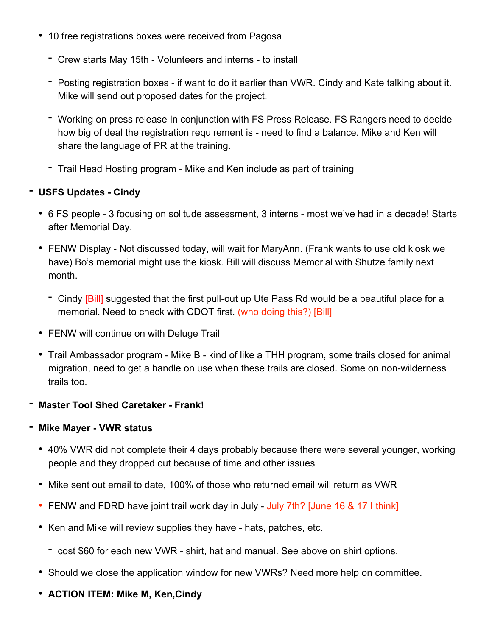- 10 free registrations boxes were received from Pagosa
	- Crew starts May 15th Volunteers and interns to install
	- Posting registration boxes if want to do it earlier than VWR. Cindy and Kate talking about it. Mike will send out proposed dates for the project.
	- Working on press release In conjunction with FS Press Release. FS Rangers need to decide how big of deal the registration requirement is - need to find a balance. Mike and Ken will share the language of PR at the training.
	- Trail Head Hosting program Mike and Ken include as part of training

### **- USFS Updates - Cindy**

- 6 FS people 3 focusing on solitude assessment, 3 interns most we've had in a decade! Starts after Memorial Day.
- FENW Display Not discussed today, will wait for MaryAnn. (Frank wants to use old kiosk we have) Bo's memorial might use the kiosk. Bill will discuss Memorial with Shutze family next month.
	- Cindy [Bill] suggested that the first pull-out up Ute Pass Rd would be a beautiful place for a memorial. Need to check with CDOT first. (who doing this?) [Bill]
- FENW will continue on with Deluge Trail
- Trail Ambassador program Mike B kind of like a THH program, some trails closed for animal migration, need to get a handle on use when these trails are closed. Some on non-wilderness trails too.
- **Master Tool Shed Caretaker Frank!**

### **- Mike Mayer - VWR status**

- 40% VWR did not complete their 4 days probably because there were several younger, working people and they dropped out because of time and other issues
- Mike sent out email to date, 100% of those who returned email will return as VWR
- FENW and FDRD have joint trail work day in July July 7th? [June 16 & 17 I think]
- Ken and Mike will review supplies they have hats, patches, etc.
	- cost \$60 for each new VWR shirt, hat and manual. See above on shirt options.
- Should we close the application window for new VWRs? Need more help on committee.
- **ACTION ITEM: Mike M, Ken,Cindy**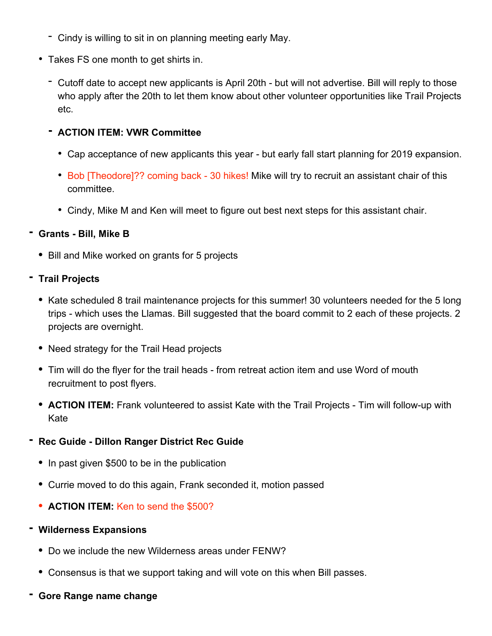- Cindy is willing to sit in on planning meeting early May.
- Takes FS one month to get shirts in.
	- Cutoff date to accept new applicants is April 20th but will not advertise. Bill will reply to those who apply after the 20th to let them know about other volunteer opportunities like Trail Projects etc.

### **- ACTION ITEM: VWR Committee**

- Cap acceptance of new applicants this year but early fall start planning for 2019 expansion.
- Bob [Theodore]?? coming back 30 hikes! Mike will try to recruit an assistant chair of this committee.
- Cindy, Mike M and Ken will meet to figure out best next steps for this assistant chair.

### **- Grants - Bill, Mike B**

- Bill and Mike worked on grants for 5 projects
- **Trail Projects**
	- Kate scheduled 8 trail maintenance projects for this summer! 30 volunteers needed for the 5 long trips - which uses the Llamas. Bill suggested that the board commit to 2 each of these projects. 2 projects are overnight.
	- Need strategy for the Trail Head projects
	- Tim will do the flyer for the trail heads from retreat action item and use Word of mouth recruitment to post flyers.
	- **ACTION ITEM:** Frank volunteered to assist Kate with the Trail Projects Tim will follow-up with Kate

### **- Rec Guide - Dillon Ranger District Rec Guide**

- In past given \$500 to be in the publication
- Currie moved to do this again, Frank seconded it, motion passed
- **ACTION ITEM:** Ken to send the \$500?

### **- Wilderness Expansions**

- Do we include the new Wilderness areas under FENW?
- Consensus is that we support taking and will vote on this when Bill passes.
- **Gore Range name change**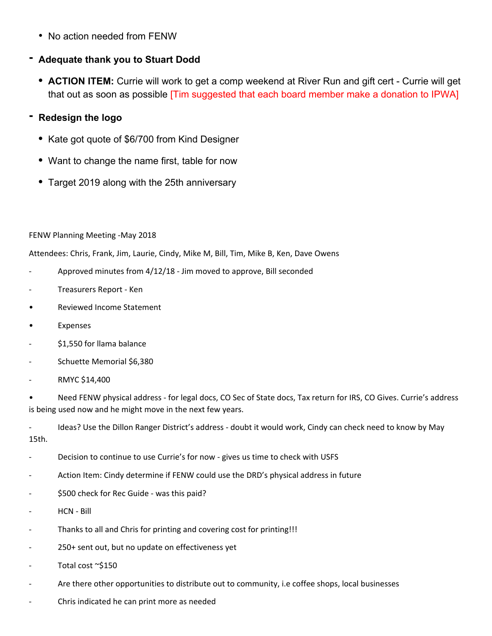• No action needed from FENW

### **- Adequate thank you to Stuart Dodd**

**• ACTION ITEM:** Currie will work to get a comp weekend at River Run and gift cert - Currie will get that out as soon as possible [Tim suggested that each board member make a donation to IPWA]

### **- Redesign the logo**

- Kate got quote of \$6/700 from Kind Designer
- Want to change the name first, table for now
- Target 2019 along with the 25th anniversary

FENW Planning Meeting ‐May 2018

Attendees: Chris, Frank, Jim, Laurie, Cindy, Mike M, Bill, Tim, Mike B, Ken, Dave Owens

- ‐ Approved minutes from 4/12/18 ‐ Jim moved to approve, Bill seconded
- ‐ Treasurers Report ‐ Ken
- Reviewed Income Statement
- Expenses
- \$1,550 for llama balance
- ‐ Schuette Memorial \$6,380
- ‐ RMYC \$14,400

• Need FENW physical address - for legal docs, CO Sec of State docs, Tax return for IRS, CO Gives. Currie's address is being used now and he might move in the next few years.

‐ Ideas? Use the Dillon Ranger District's address ‐ doubt it would work, Cindy can check need to know by May 15th.

- Decision to continue to use Currie's for now gives us time to check with USFS
- ‐ Action Item: Cindy determine if FENW could use the DRD's physical address in future
- ‐ \$500 check for Rec Guide ‐ was this paid?
- ‐ HCN ‐ Bill
- ‐ Thanks to all and Chris for printing and covering cost for printing!!!
- ‐ 250+ sent out, but no update on effectiveness yet
- Total cost ~\$150
- Are there other opportunities to distribute out to community, i.e coffee shops, local businesses
- ‐ Chris indicated he can print more as needed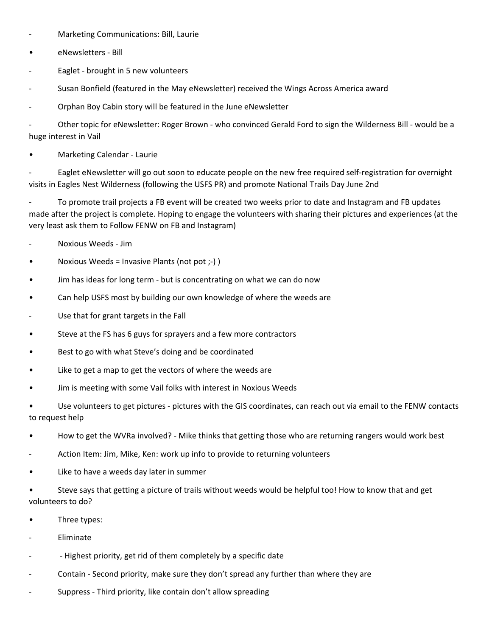- ‐ Marketing Communications: Bill, Laurie
- **eNewsletters** Bill
- Eaglet brought in 5 new volunteers
- Susan Bonfield (featured in the May eNewsletter) received the Wings Across America award
- ‐ Orphan Boy Cabin story will be featured in the June eNewsletter

‐ Other topic for eNewsletter: Roger Brown ‐ who convinced Gerald Ford to sign the Wilderness Bill ‐ would be a huge interest in Vail

• Marketing Calendar ‐ Laurie

Eaglet eNewsletter will go out soon to educate people on the new free required self-registration for overnight visits in Eagles Nest Wilderness (following the USFS PR) and promote National Trails Day June 2nd

‐ To promote trail projects a FB event will be created two weeks prior to date and Instagram and FB updates made after the project is complete. Hoping to engage the volunteers with sharing their pictures and experiences (at the very least ask them to Follow FENW on FB and Instagram)

- ‐ Noxious Weeds ‐ Jim
- Noxious Weeds = Invasive Plants (not pot ;-))
- Jim has ideas for long term ‐ but is concentrating on what we can do now
- Can help USFS most by building our own knowledge of where the weeds are
- Use that for grant targets in the Fall
- Steve at the FS has 6 guys for sprayers and a few more contractors
- Best to go with what Steve's doing and be coordinated
- Like to get a map to get the vectors of where the weeds are
- Jim is meeting with some Vail folks with interest in Noxious Weeds

Use volunteers to get pictures - pictures with the GIS coordinates, can reach out via email to the FENW contacts to request help

- How to get the WVRa involved? ‐ Mike thinks that getting those who are returning rangers would work best
- Action Item: Jim, Mike, Ken: work up info to provide to returning volunteers
- Like to have a weeds day later in summer
- Steve says that getting a picture of trails without weeds would be helpful too! How to know that and get volunteers to do?
- Three types:
- **Eliminate**
- Highest priority, get rid of them completely by a specific date
- ‐ Contain ‐ Second priority, make sure they don't spread any further than where they are
- Suppress Third priority, like contain don't allow spreading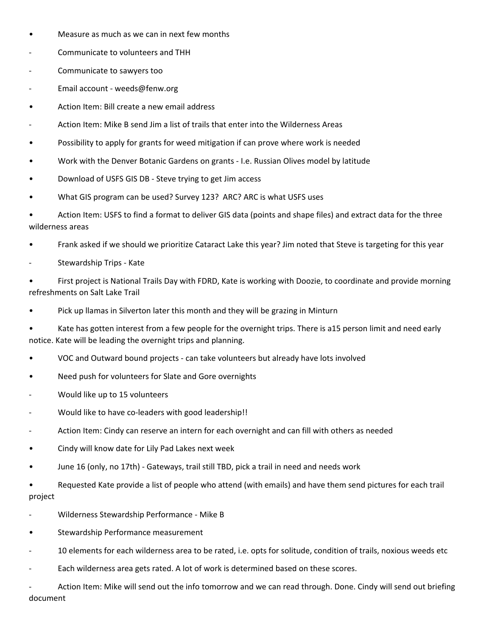- Measure as much as we can in next few months
- ‐ Communicate to volunteers and THH
- ‐ Communicate to sawyers too
- Email account weeds@fenw.org
- Action Item: Bill create a new email address
- ‐ Action Item: Mike B send Jim a list of trails that enter into the Wilderness Areas
- Possibility to apply for grants for weed mitigation if can prove where work is needed
- Work with the Denver Botanic Gardens on grants ‐ I.e. Russian Olives model by latitude
- Download of USFS GIS DB ‐ Steve trying to get Jim access
- What GIS program can be used? Survey 123? ARC? ARC is what USFS uses
- Action Item: USFS to find a format to deliver GIS data (points and shape files) and extract data for the three wilderness areas
- Frank asked if we should we prioritize Cataract Lake this year? Jim noted that Steve is targeting for this year
- ‐ Stewardship Trips ‐ Kate
- First project is National Trails Day with FDRD, Kate is working with Doozie, to coordinate and provide morning refreshments on Salt Lake Trail
- Pick up llamas in Silverton later this month and they will be grazing in Minturn
- Kate has gotten interest from a few people for the overnight trips. There is a15 person limit and need early notice. Kate will be leading the overnight trips and planning.
- VOC and Outward bound projects ‐ can take volunteers but already have lots involved
- Need push for volunteers for Slate and Gore overnights
- ‐ Would like up to 15 volunteers
- ‐ Would like to have co‐leaders with good leadership!!
- ‐ Action Item: Cindy can reserve an intern for each overnight and can fill with others as needed
- Cindy will know date for Lily Pad Lakes next week
- June 16 (only, no 17th) ‐ Gateways, trail still TBD, pick a trail in need and needs work
- Requested Kate provide a list of people who attend (with emails) and have them send pictures for each trail project
- ‐ Wilderness Stewardship Performance ‐ Mike B
- Stewardship Performance measurement
- ‐ 10 elements for each wilderness area to be rated, i.e. opts for solitude, condition of trails, noxious weeds etc
- Each wilderness area gets rated. A lot of work is determined based on these scores.
- Action Item: Mike will send out the info tomorrow and we can read through. Done. Cindy will send out briefing document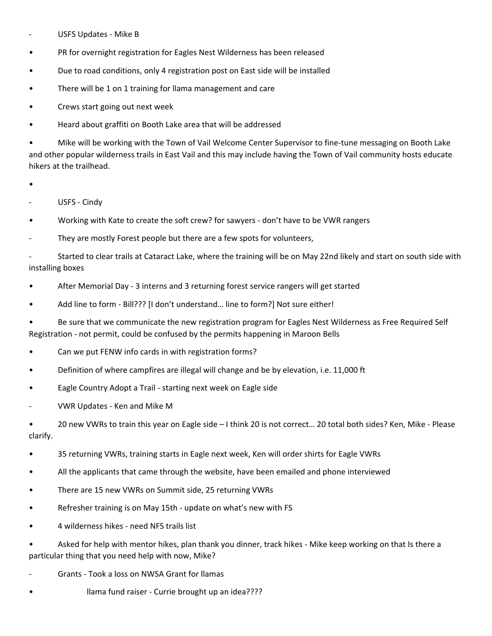- ‐ USFS Updates ‐ Mike B
- PR for overnight registration for Eagles Nest Wilderness has been released
- Due to road conditions, only 4 registration post on East side will be installed
- There will be 1 on 1 training for Ilama management and care
- Crews start going out next week
- Heard about graffiti on Booth Lake area that will be addressed

• Mike will be working with the Town of Vail Welcome Center Supervisor to fine‐tune messaging on Booth Lake and other popular wilderness trails in East Vail and this may include having the Town of Vail community hosts educate hikers at the trailhead.

- •
- USFS Cindy
- Working with Kate to create the soft crew? for sawyers don't have to be VWR rangers
- They are mostly Forest people but there are a few spots for volunteers,

Started to clear trails at Cataract Lake, where the training will be on May 22nd likely and start on south side with installing boxes

- After Memorial Day ‐ 3 interns and 3 returning forest service rangers will get started
- Add line to form Bill??? [I don't understand... line to form?] Not sure either!

• Be sure that we communicate the new registration program for Eagles Nest Wilderness as Free Required Self Registration ‐ not permit, could be confused by the permits happening in Maroon Bells

- Can we put FENW info cards in with registration forms?
- Definition of where campfires are illegal will change and be by elevation, i.e. 11,000 ft
- Eagle Country Adopt a Trail ‐ starting next week on Eagle side
- ‐ VWR Updates ‐ Ken and Mike M

• 20 new VWRs to train this year on Eagle side – I think 20 is not correct… 20 total both sides? Ken, Mike ‐ Please clarify.

- 35 returning VWRs, training starts in Eagle next week, Ken will order shirts for Eagle VWRs
- All the applicants that came through the website, have been emailed and phone interviewed
- There are 15 new VWRs on Summit side, 25 returning VWRs
- Refresher training is on May 15th update on what's new with FS
- 4 wilderness hikes ‐ need NFS trails list
- Asked for help with mentor hikes, plan thank you dinner, track hikes ‐ Mike keep working on that Is there a particular thing that you need help with now, Mike?
- ‐ Grants ‐ Took a loss on NWSA Grant for llamas
- **Illama fund raiser Currie brought up an idea????**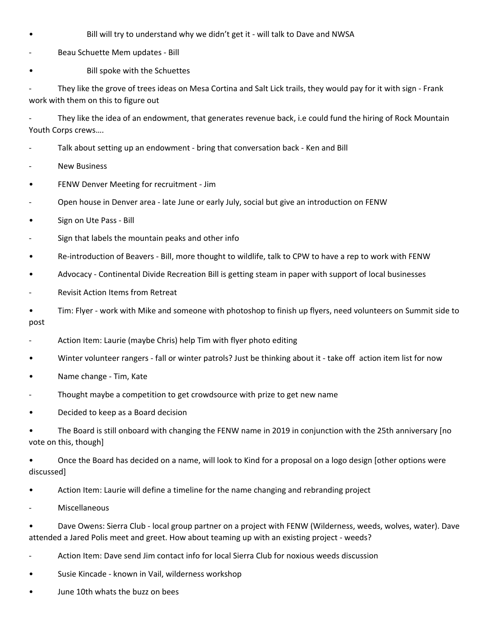- **Bill will try to understand why we didn't get it will talk to Dave and NWSA**
- ‐ Beau Schuette Mem updates ‐ Bill
- **Bill spoke with the Schuettes**

They like the grove of trees ideas on Mesa Cortina and Salt Lick trails, they would pay for it with sign - Frank work with them on this to figure out

They like the idea of an endowment, that generates revenue back, i.e could fund the hiring of Rock Mountain Youth Corps crews….

- ‐ Talk about setting up an endowment ‐ bring that conversation back ‐ Ken and Bill
- ‐ New Business
- FENW Denver Meeting for recruitment ‐ Jim
- ‐ Open house in Denver area ‐ late June or early July, social but give an introduction on FENW
- Sign on Ute Pass Bill
- Sign that labels the mountain peaks and other info
- Re‐introduction of Beavers ‐ Bill, more thought to wildlife, talk to CPW to have a rep to work with FENW
- Advocacy Continental Divide Recreation Bill is getting steam in paper with support of local businesses
- ‐ Revisit Action Items from Retreat
- Tim: Flyer ‐ work with Mike and someone with photoshop to finish up flyers, need volunteers on Summit side to post
- ‐ Action Item: Laurie (maybe Chris) help Tim with flyer photo editing
- Winter volunteer rangers fall or winter patrols? Just be thinking about it take off action item list for now
- Name change Tim, Kate
- ‐ Thought maybe a competition to get crowdsource with prize to get new name
- Decided to keep as a Board decision

• The Board is still onboard with changing the FENW name in 2019 in conjunction with the 25th anniversary [no vote on this, though]

• Once the Board has decided on a name, will look to Kind for a proposal on a logo design [other options were discussed]

- Action Item: Laurie will define a timeline for the name changing and rebranding project
- **Miscellaneous**

• Dave Owens: Sierra Club ‐ local group partner on a project with FENW (Wilderness, weeds, wolves, water). Dave attended a Jared Polis meet and greet. How about teaming up with an existing project ‐ weeds?

- ‐ Action Item: Dave send Jim contact info for local Sierra Club for noxious weeds discussion
- Susie Kincade known in Vail, wilderness workshop
- June 10th whats the buzz on bees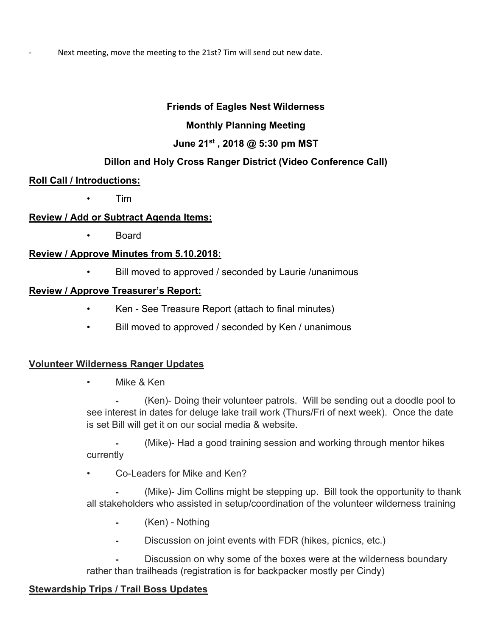Next meeting, move the meeting to the 21st? Tim will send out new date.

### **Friends of Eagles Nest Wilderness**

### **Monthly Planning Meeting**

### **June 21st , 2018 @ 5:30 pm MST**

### **Dillon and Holy Cross Ranger District (Video Conference Call)**

### **Roll Call / Introductions:**

• Tim

### **Review / Add or Subtract Agenda Items:**

• Board

### **Review / Approve Minutes from 5.10.2018:**

• Bill moved to approved / seconded by Laurie /unanimous

### **Review / Approve Treasurer's Report:**

- Ken See Treasure Report (attach to final minutes)
- Bill moved to approved / seconded by Ken / unanimous

### **Volunteer Wilderness Ranger Updates**

• Mike & Ken

⁃ (Ken)- Doing their volunteer patrols. Will be sending out a doodle pool to see interest in dates for deluge lake trail work (Thurs/Fri of next week). Once the date is set Bill will get it on our social media & website.

⁃ (Mike)- Had a good training session and working through mentor hikes currently

Co-Leaders for Mike and Ken?

(Mike)- Jim Collins might be stepping up. Bill took the opportunity to thank all stakeholders who assisted in setup/coordination of the volunteer wilderness training

- ⁃ (Ken) Nothing
- Discussion on joint events with FDR (hikes, picnics, etc.)

Discussion on why some of the boxes were at the wilderness boundary rather than trailheads (registration is for backpacker mostly per Cindy)

# **Stewardship Trips / Trail Boss Updates**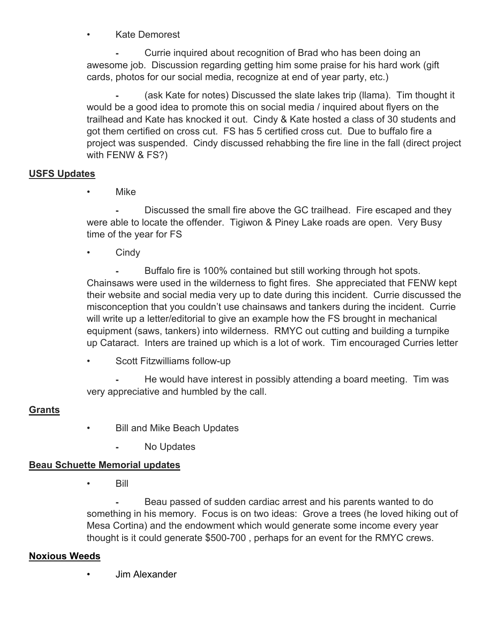• Kate Demorest

Currie inquired about recognition of Brad who has been doing an awesome job. Discussion regarding getting him some praise for his hard work (gift cards, photos for our social media, recognize at end of year party, etc.)

(ask Kate for notes) Discussed the slate lakes trip (llama). Tim thought it would be a good idea to promote this on social media / inquired about flyers on the trailhead and Kate has knocked it out. Cindy & Kate hosted a class of 30 students and got them certified on cross cut. FS has 5 certified cross cut. Due to buffalo fire a project was suspended. Cindy discussed rehabbing the fire line in the fall (direct project with FENW & FS?)

### **USFS Updates**

• Mike

Discussed the small fire above the GC trailhead. Fire escaped and they were able to locate the offender. Tigiwon & Piney Lake roads are open. Very Busy time of the year for FS

• Cindy

Buffalo fire is 100% contained but still working through hot spots. Chainsaws were used in the wilderness to fight fires. She appreciated that FENW kept their website and social media very up to date during this incident. Currie discussed the misconception that you couldn't use chainsaws and tankers during the incident. Currie will write up a letter/editorial to give an example how the FS brought in mechanical equipment (saws, tankers) into wilderness. RMYC out cutting and building a turnpike up Cataract. Inters are trained up which is a lot of work. Tim encouraged Curries letter

• Scott Fitzwilliams follow-up

He would have interest in possibly attending a board meeting. Tim was very appreciative and humbled by the call.

### **Grants**

- Bill and Mike Beach Updates
	- ⁃ No Updates

### **Beau Schuette Memorial updates**

• Bill

Beau passed of sudden cardiac arrest and his parents wanted to do something in his memory. Focus is on two ideas: Grove a trees (he loved hiking out of Mesa Cortina) and the endowment which would generate some income every year thought is it could generate \$500-700 , perhaps for an event for the RMYC crews.

### **Noxious Weeds**

• Jim Alexander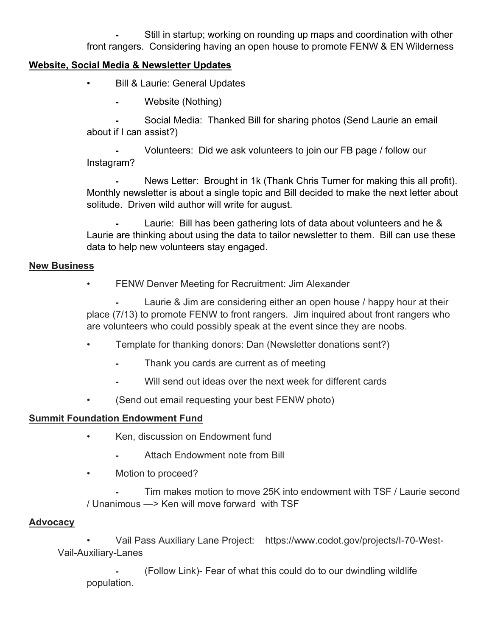Still in startup; working on rounding up maps and coordination with other front rangers. Considering having an open house to promote FENW & EN Wilderness

### **Website, Social Media & Newsletter Updates**

- Bill & Laurie: General Updates
	- Website (Nothing)

Social Media: Thanked Bill for sharing photos (Send Laurie an email about if I can assist?)

Volunteers: Did we ask volunteers to join our FB page / follow our Instagram?

News Letter: Brought in 1k (Thank Chris Turner for making this all profit). Monthly newsletter is about a single topic and Bill decided to make the next letter about solitude. Driven wild author will write for august.

Laurie: Bill has been gathering lots of data about volunteers and he & Laurie are thinking about using the data to tailor newsletter to them. Bill can use these data to help new volunteers stay engaged.

### **New Business**

• FENW Denver Meeting for Recruitment: Jim Alexander

Laurie & Jim are considering either an open house / happy hour at their place (7/13) to promote FENW to front rangers. Jim inquired about front rangers who are volunteers who could possibly speak at the event since they are noobs.

- Template for thanking donors: Dan (Newsletter donations sent?)
	- ⁃ Thank you cards are current as of meeting
	- Will send out ideas over the next week for different cards
- (Send out email requesting your best FENW photo)

### **Summit Foundation Endowment Fund**

- Ken, discussion on Endowment fund
	- Attach Endowment note from Bill
- Motion to proceed?

Tim makes motion to move 25K into endowment with TSF / Laurie second / Unanimous —> Ken will move forward with TSF

### **Advocacy**

 • Vail Pass Auxiliary Lane Project: https://www.codot.gov/projects/I-70-West-Vail-Auxiliary-Lanes

⁃ (Follow Link)- Fear of what this could do to our dwindling wildlife population.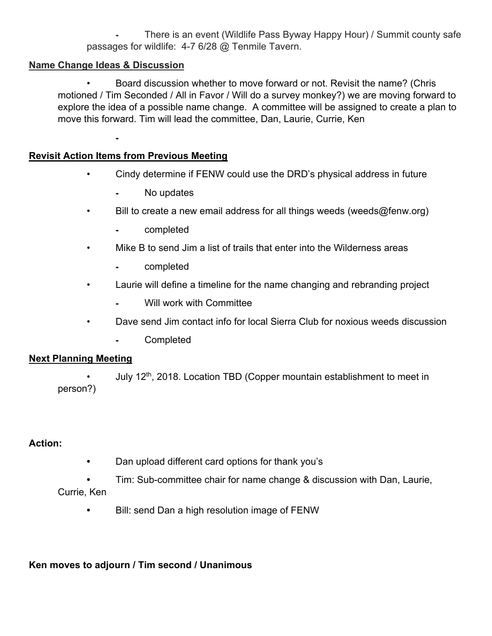There is an event (Wildlife Pass Byway Happy Hour) / Summit county safe passages for wildlife: 4-7 6/28 @ Tenmile Tavern.

### **Name Change Ideas & Discussion**

 • Board discussion whether to move forward or not. Revisit the name? (Chris motioned / Tim Seconded / All in Favor / Will do a survey monkey?) we are moving forward to explore the idea of a possible name change. A committee will be assigned to create a plan to move this forward. Tim will lead the committee, Dan, Laurie, Currie, Ken

### **Revisit Action Items from Previous Meeting**

⁃

- Cindy determine if FENW could use the DRD's physical address in future
	- ⁃ No updates
- Bill to create a new email address for all things weeds (weeds@fenw.org)
	- ⁃ completed
- Mike B to send Jim a list of trails that enter into the Wilderness areas
	- ⁃ completed
- Laurie will define a timeline for the name changing and rebranding project
	- Will work with Committee
- Dave send Jim contact info for local Sierra Club for noxious weeds discussion
	- ⁃ Completed

### **Next Planning Meeting**

• July 12<sup>th</sup>, 2018. Location TBD (Copper mountain establishment to meet in person?)

### **Action:**

- Dan upload different card options for thank you's
- Tim: Sub-committee chair for name change & discussion with Dan, Laurie, Currie, Ken
	- Bill: send Dan a high resolution image of FENW

**Ken moves to adjourn / Tim second / Unanimous**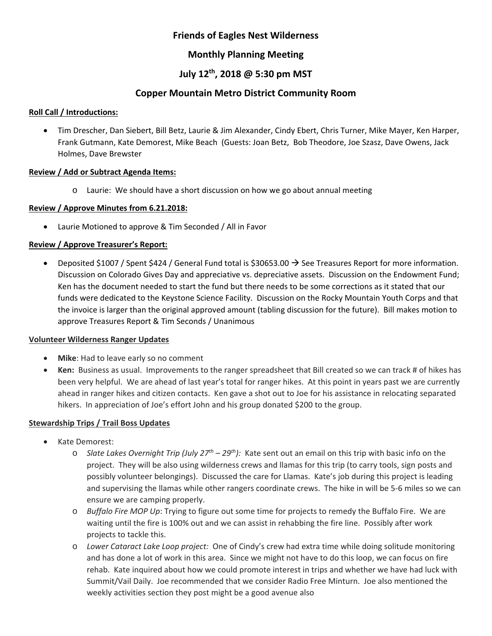### **Friends of Eagles Nest Wilderness**

### **Monthly Planning Meeting**

### **July 12th, 2018 @ 5:30 pm MST**

### **Copper Mountain Metro District Community Room**

### **Roll Call / Introductions:**

 Tim Drescher, Dan Siebert, Bill Betz, Laurie & Jim Alexander, Cindy Ebert, Chris Turner, Mike Mayer, Ken Harper, Frank Gutmann, Kate Demorest, Mike Beach (Guests: Joan Betz, Bob Theodore, Joe Szasz, Dave Owens, Jack Holmes, Dave Brewster

### **Review / Add or Subtract Agenda Items:**

o Laurie: We should have a short discussion on how we go about annual meeting

### **Review / Approve Minutes from 6.21.2018:**

Laurie Motioned to approve & Tim Seconded / All in Favor

### **Review / Approve Treasurer's Report:**

**•** Deposited \$1007 / Spent \$424 / General Fund total is \$30653.00  $\rightarrow$  See Treasures Report for more information. Discussion on Colorado Gives Day and appreciative vs. depreciative assets. Discussion on the Endowment Fund; Ken has the document needed to start the fund but there needs to be some corrections as it stated that our funds were dedicated to the Keystone Science Facility. Discussion on the Rocky Mountain Youth Corps and that the invoice is larger than the original approved amount (tabling discussion for the future). Bill makes motion to approve Treasures Report & Tim Seconds / Unanimous

#### **Volunteer Wilderness Ranger Updates**

- **Mike**: Had to leave early so no comment
- **Ken:** Business as usual. Improvements to the ranger spreadsheet that Bill created so we can track # of hikes has been very helpful. We are ahead of last year's total for ranger hikes. At this point in years past we are currently ahead in ranger hikes and citizen contacts. Ken gave a shot out to Joe for his assistance in relocating separated hikers. In appreciation of Joe's effort John and his group donated \$200 to the group.

### **Stewardship Trips / Trail Boss Updates**

- Kate Demorest:
	- o *Slate Lakes Overnight Trip (July 27th 29th):* Kate sent out an email on this trip with basic info on the project. They will be also using wilderness crews and llamas for this trip (to carry tools, sign posts and possibly volunteer belongings). Discussed the care for Llamas. Kate's job during this project is leading and supervising the llamas while other rangers coordinate crews. The hike in will be 5‐6 miles so we can ensure we are camping properly.
	- o *Buffalo Fire MOP Up*: Trying to figure out some time for projects to remedy the Buffalo Fire. We are waiting until the fire is 100% out and we can assist in rehabbing the fire line. Possibly after work projects to tackle this.
	- o *Lower Cataract Lake Loop project:* One of Cindy's crew had extra time while doing solitude monitoring and has done a lot of work in this area. Since we might not have to do this loop, we can focus on fire rehab. Kate inquired about how we could promote interest in trips and whether we have had luck with Summit/Vail Daily. Joe recommended that we consider Radio Free Minturn. Joe also mentioned the weekly activities section they post might be a good avenue also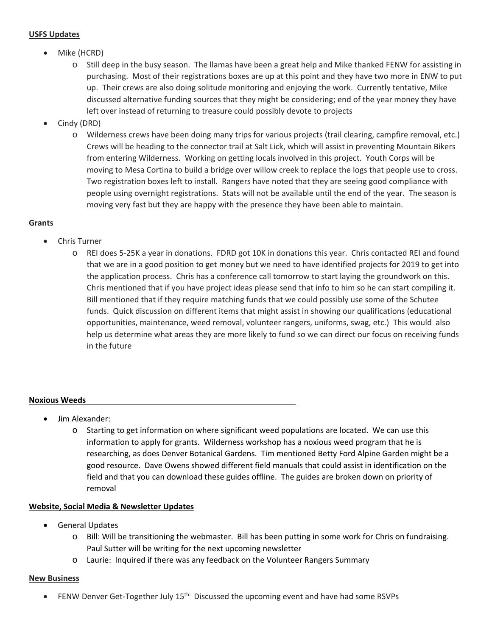#### **USFS Updates**

- Mike (HCRD)
	- o Still deep in the busy season. The llamas have been a great help and Mike thanked FENW for assisting in purchasing. Most of their registrations boxes are up at this point and they have two more in ENW to put up. Their crews are also doing solitude monitoring and enjoying the work. Currently tentative, Mike discussed alternative funding sources that they might be considering; end of the year money they have left over instead of returning to treasure could possibly devote to projects
- Cindy (DRD)
	- o Wilderness crews have been doing many trips for various projects (trail clearing, campfire removal, etc.) Crews will be heading to the connector trail at Salt Lick, which will assist in preventing Mountain Bikers from entering Wilderness. Working on getting locals involved in this project. Youth Corps will be moving to Mesa Cortina to build a bridge over willow creek to replace the logs that people use to cross. Two registration boxes left to install. Rangers have noted that they are seeing good compliance with people using overnight registrations. Stats will not be available until the end of the year. The season is moving very fast but they are happy with the presence they have been able to maintain.

### **Grants**

- Chris Turner
	- o REI does 5‐25K a year in donations. FDRD got 10K in donations this year. Chris contacted REI and found that we are in a good position to get money but we need to have identified projects for 2019 to get into the application process. Chris has a conference call tomorrow to start laying the groundwork on this. Chris mentioned that if you have project ideas please send that info to him so he can start compiling it. Bill mentioned that if they require matching funds that we could possibly use some of the Schutee funds. Quick discussion on different items that might assist in showing our qualifications (educational opportunities, maintenance, weed removal, volunteer rangers, uniforms, swag, etc.) This would also help us determine what areas they are more likely to fund so we can direct our focus on receiving funds in the future

#### **Noxious Weeds**

- Jim Alexander:
	- o Starting to get information on where significant weed populations are located. We can use this information to apply for grants. Wilderness workshop has a noxious weed program that he is researching, as does Denver Botanical Gardens. Tim mentioned Betty Ford Alpine Garden might be a good resource. Dave Owens showed different field manuals that could assist in identification on the field and that you can download these guides offline. The guides are broken down on priority of removal

### **Website, Social Media & Newsletter Updates**

- **•** General Updates
	- o Bill: Will be transitioning the webmaster. Bill has been putting in some work for Chris on fundraising. Paul Sutter will be writing for the next upcoming newsletter
	- o Laurie: Inquired if there was any feedback on the Volunteer Rangers Summary

#### **New Business**

FENW Denver Get-Together July 15<sup>th:</sup> Discussed the upcoming event and have had some RSVPs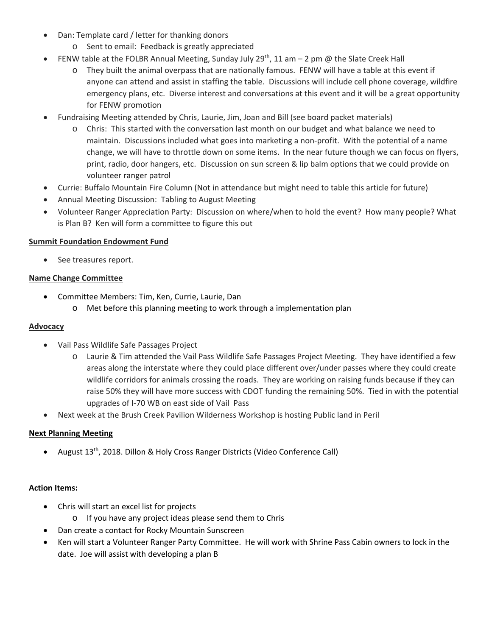- Dan: Template card / letter for thanking donors
	- o Sent to email: Feedback is greatly appreciated
- **FENW table at the FOLBR Annual Meeting, Sunday July 29th, 11 am 2 pm @ the Slate Creek Hall** 
	- o They built the animal overpass that are nationally famous. FENW will have a table at this event if anyone can attend and assist in staffing the table. Discussions will include cell phone coverage, wildfire emergency plans, etc. Diverse interest and conversations at this event and it will be a great opportunity for FENW promotion
- Fundraising Meeting attended by Chris, Laurie, Jim, Joan and Bill (see board packet materials)
	- o Chris: This started with the conversation last month on our budget and what balance we need to maintain. Discussions included what goes into marketing a non-profit. With the potential of a name change, we will have to throttle down on some items. In the near future though we can focus on flyers, print, radio, door hangers, etc. Discussion on sun screen & lip balm options that we could provide on volunteer ranger patrol
- Currie: Buffalo Mountain Fire Column (Not in attendance but might need to table this article for future)
- Annual Meeting Discussion: Tabling to August Meeting
- Volunteer Ranger Appreciation Party: Discussion on where/when to hold the event? How many people? What is Plan B? Ken will form a committee to figure this out

### **Summit Foundation Endowment Fund**

• See treasures report.

### **Name Change Committee**

- Committee Members: Tim, Ken, Currie, Laurie, Dan
	- o Met before this planning meeting to work through a implementation plan

### **Advocacy**

- Vail Pass Wildlife Safe Passages Project
	- o Laurie & Tim attended the Vail Pass Wildlife Safe Passages Project Meeting. They have identified a few areas along the interstate where they could place different over/under passes where they could create wildlife corridors for animals crossing the roads. They are working on raising funds because if they can raise 50% they will have more success with CDOT funding the remaining 50%. Tied in with the potential upgrades of I‐70 WB on east side of Vail Pass
- Next week at the Brush Creek Pavilion Wilderness Workshop is hosting Public land in Peril

### **Next Planning Meeting**

August 13th, 2018. Dillon & Holy Cross Ranger Districts (Video Conference Call)

#### **Action Items:**

- Chris will start an excel list for projects
	- o If you have any project ideas please send them to Chris
- Dan create a contact for Rocky Mountain Sunscreen
- Ken will start a Volunteer Ranger Party Committee. He will work with Shrine Pass Cabin owners to lock in the date. Joe will assist with developing a plan B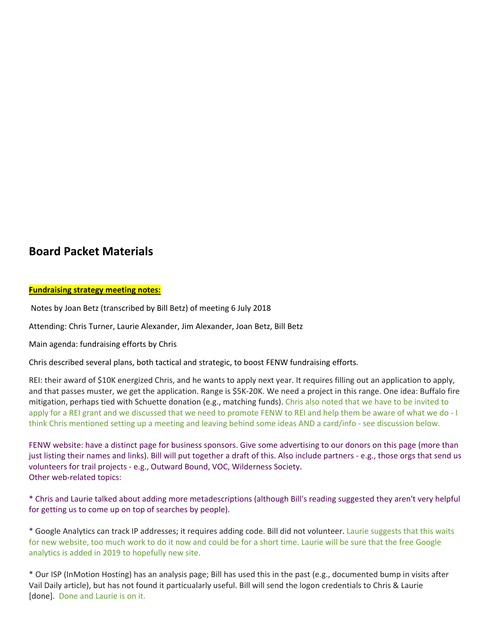# **Board Packet Materials**

#### **Fundraising strategy meeting notes:**

Notes by Joan Betz (transcribed by Bill Betz) of meeting 6 July 2018

Attending: Chris Turner, Laurie Alexander, Jim Alexander, Joan Betz, Bill Betz

Main agenda: fundraising efforts by Chris

Chris described several plans, both tactical and strategic, to boost FENW fundraising efforts.

REI: their award of \$10K energized Chris, and he wants to apply next year. It requires filling out an application to apply, and that passes muster, we get the application. Range is \$5K‐20K. We need a project in this range. One idea: Buffalo fire mitigation, perhaps tied with Schuette donation (e.g., matching funds). Chris also noted that we have to be invited to apply for a REI grant and we discussed that we need to promote FENW to REI and help them be aware of what we do ‐ I think Chris mentioned setting up a meeting and leaving behind some ideas AND a card/info ‐ see discussion below.

FENW website: have a distinct page for business sponsors. Give some advertising to our donors on this page (more than just listing their names and links). Bill will put together a draft of this. Also include partners ‐ e.g., those orgs that send us volunteers for trail projects ‐ e.g., Outward Bound, VOC, Wilderness Society. Other web-related topics:

\* Chris and Laurie talked about adding more metadescriptions (although Bill's reading suggested they aren't very helpful for getting us to come up on top of searches by people).

\* Google Analytics can track IP addresses; it requires adding code. Bill did not volunteer. Laurie suggests that this waits for new website, too much work to do it now and could be for a short time. Laurie will be sure that the free Google analytics is added in 2019 to hopefully new site.

\* Our ISP (InMotion Hosting) has an analysis page; Bill has used this in the past (e.g., documented bump in visits after Vail Daily article), but has not found it particualarly useful. Bill will send the logon credentials to Chris & Laurie [done]. Done and Laurie is on it.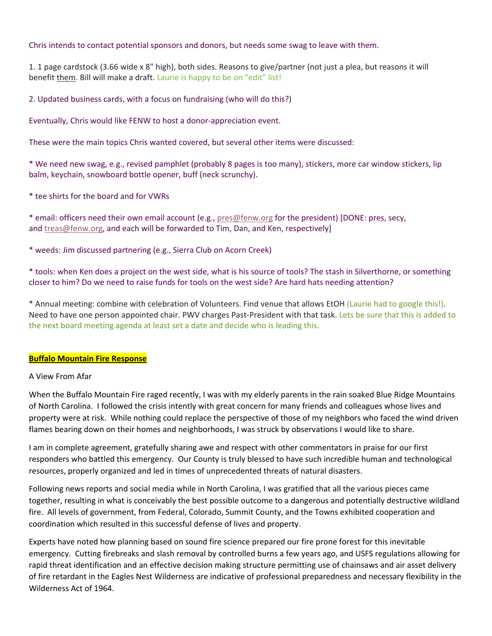#### Chris intends to contact potential sponsors and donors, but needs some swag to leave with them.

1. 1 page cardstock (3.66 wide x 8" high), both sides. Reasons to give/partner (not just a plea, but reasons it will benefit them. Bill will make a draft. Laurie is happy to be on "edit" list!

2. Updated business cards, with a focus on fundraising (who will do this?)

Eventually, Chris would like FENW to host a donor‐appreciation event.

These were the main topics Chris wanted covered, but several other items were discussed:

\* We need new swag, e.g., revised pamphlet (probably 8 pages is too many), stickers, more car window stickers, lip balm, keychain, snowboard bottle opener, buff (neck scrunchy).

\* tee shirts for the board and for VWRs

\* email: officers need their own email account (e.g., pres@fenw.org for the president) [DONE: pres, secy, and treas@fenw.org, and each will be forwarded to Tim, Dan, and Ken, respectively]

\* weeds: Jim discussed partnering (e.g., Sierra Club on Acorn Creek)

\* tools: when Ken does a project on the west side, what is his source of tools? The stash in Silverthorne, or something closer to him? Do we need to raise funds for tools on the west side? Are hard hats needing attention?

\* Annual meeting: combine with celebration of Volunteers. Find venue that allows EtOH (Laurie had to google this!). Need to have one person appointed chair. PWV charges Past-President with that task. Lets be sure that this is added to the next board meeting agenda at least set a date and decide who is leading this.

#### **Buffalo Mountain Fire Response**

#### A View From Afar

When the Buffalo Mountain Fire raged recently, I was with my elderly parents in the rain soaked Blue Ridge Mountains of North Carolina. I followed the crisis intently with great concern for many friends and colleagues whose lives and property were at risk. While nothing could replace the perspective of those of my neighbors who faced the wind driven flames bearing down on their homes and neighborhoods, I was struck by observations I would like to share.

I am in complete agreement, gratefully sharing awe and respect with other commentators in praise for our first responders who battled this emergency. Our County is truly blessed to have such incredible human and technological resources, properly organized and led in times of unprecedented threats of natural disasters.

Following news reports and social media while in North Carolina, I was gratified that all the various pieces came together, resulting in what is conceivably the best possible outcome to a dangerous and potentially destructive wildland fire. All levels of government, from Federal, Colorado, Summit County, and the Towns exhibited cooperation and coordination which resulted in this successful defense of lives and property.

Experts have noted how planning based on sound fire science prepared our fire prone forest for this inevitable emergency. Cutting firebreaks and slash removal by controlled burns a few years ago, and USFS regulations allowing for rapid threat identification and an effective decision making structure permitting use of chainsaws and air asset delivery of fire retardant in the Eagles Nest Wilderness are indicative of professional preparedness and necessary flexibility in the Wilderness Act of 1964.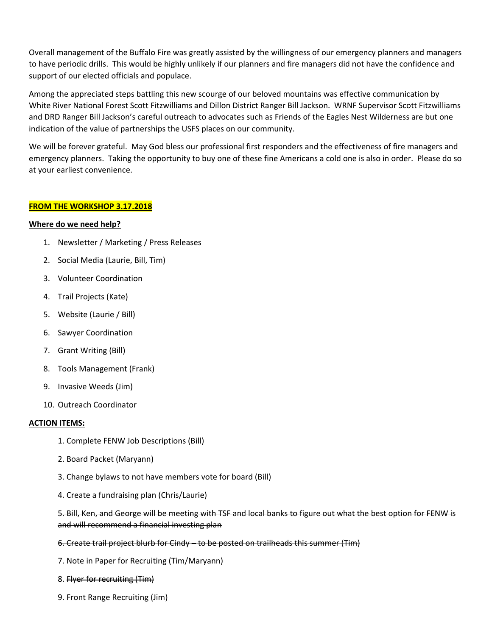Overall management of the Buffalo Fire was greatly assisted by the willingness of our emergency planners and managers to have periodic drills. This would be highly unlikely if our planners and fire managers did not have the confidence and support of our elected officials and populace.

Among the appreciated steps battling this new scourge of our beloved mountains was effective communication by White River National Forest Scott Fitzwilliams and Dillon District Ranger Bill Jackson. WRNF Supervisor Scott Fitzwilliams and DRD Ranger Bill Jackson's careful outreach to advocates such as Friends of the Eagles Nest Wilderness are but one indication of the value of partnerships the USFS places on our community.

We will be forever grateful. May God bless our professional first responders and the effectiveness of fire managers and emergency planners. Taking the opportunity to buy one of these fine Americans a cold one is also in order. Please do so at your earliest convenience.

#### **FROM THE WORKSHOP 3.17.2018**

#### **Where do we need help?**

- 1. Newsletter / Marketing / Press Releases
- 2. Social Media (Laurie, Bill, Tim)
- 3. Volunteer Coordination
- 4. Trail Projects (Kate)
- 5. Website (Laurie / Bill)
- 6. Sawyer Coordination
- 7. Grant Writing (Bill)
- 8. Tools Management (Frank)
- 9. Invasive Weeds (Jim)
- 10. Outreach Coordinator

#### **ACTION ITEMS:**

- 1. Complete FENW Job Descriptions (Bill)
- 2. Board Packet (Maryann)
- 3. Change bylaws to not have members vote for board (Bill)
- 4. Create a fundraising plan (Chris/Laurie)

5. Bill, Ken, and George will be meeting with TSF and local banks to figure out what the best option for FENW is and will recommend a financial investing plan

- 6. Create trail project blurb for Cindy to be posted on trailheads this summer (Tim)
- 7. Note in Paper for Recruiting (Tim/Maryann)
- 8. Flyer for recruiting (Tim)
- 9. Front Range Recruiting (Jim)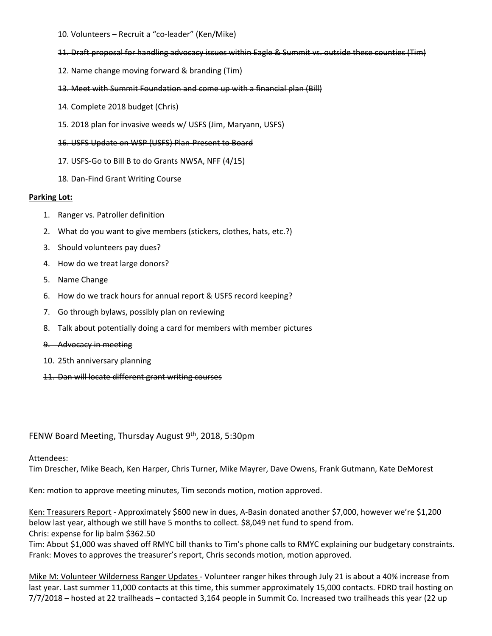- 10. Volunteers Recruit a "co‐leader" (Ken/Mike)
- 11. Draft proposal for handling advocacy issues within Eagle & Summit vs. outside these counties (Tim)
- 12. Name change moving forward & branding (Tim)
- 13. Meet with Summit Foundation and come up with a financial plan (Bill)
- 14. Complete 2018 budget (Chris)
- 15. 2018 plan for invasive weeds w/ USFS (Jim, Maryann, USFS)
- 16. USFS Update on WSP (USFS) Plan‐Present to Board
- 17. USFS‐Go to Bill B to do Grants NWSA, NFF (4/15)
- 18. Dan‐Find Grant Writing Course

#### **Parking Lot:**

- 1. Ranger vs. Patroller definition
- 2. What do you want to give members (stickers, clothes, hats, etc.?)
- 3. Should volunteers pay dues?
- 4. How do we treat large donors?
- 5. Name Change
- 6. How do we track hours for annual report & USFS record keeping?
- 7. Go through bylaws, possibly plan on reviewing
- 8. Talk about potentially doing a card for members with member pictures
- 9. Advocacy in meeting
- 10. 25th anniversary planning
- 11. Dan will locate different grant writing courses

#### FENW Board Meeting, Thursday August 9<sup>th</sup>, 2018, 5:30pm

#### Attendees:

Tim Drescher, Mike Beach, Ken Harper, Chris Turner, Mike Mayrer, Dave Owens, Frank Gutmann, Kate DeMorest

Ken: motion to approve meeting minutes, Tim seconds motion, motion approved.

Ken: Treasurers Report - Approximately \$600 new in dues, A-Basin donated another \$7,000, however we're \$1,200 below last year, although we still have 5 months to collect. \$8,049 net fund to spend from. Chris: expense for lip balm \$362.50

Tim: About \$1,000 was shaved off RMYC bill thanks to Tim's phone calls to RMYC explaining our budgetary constraints. Frank: Moves to approves the treasurer's report, Chris seconds motion, motion approved.

Mike M: Volunteer Wilderness Ranger Updates ‐ Volunteer ranger hikes through July 21 is about a 40% increase from last year. Last summer 11,000 contacts at this time, this summer approximately 15,000 contacts. FDRD trail hosting on 7/7/2018 – hosted at 22 trailheads – contacted 3,164 people in Summit Co. Increased two trailheads this year (22 up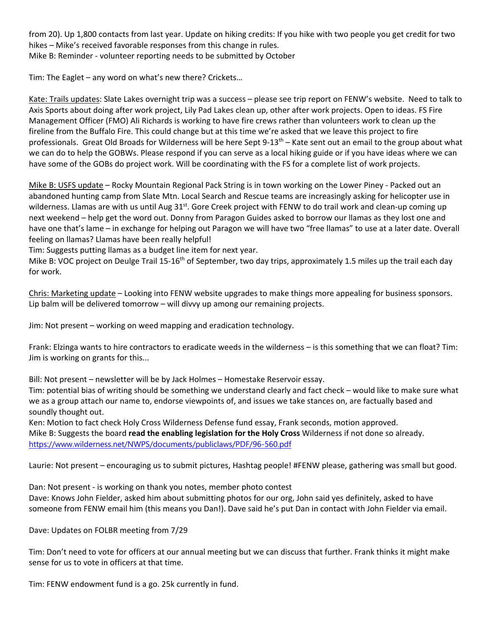from 20). Up 1,800 contacts from last year. Update on hiking credits: If you hike with two people you get credit for two hikes – Mike's received favorable responses from this change in rules. Mike B: Reminder ‐ volunteer reporting needs to be submitted by October

Tim: The Eaglet – any word on what's new there? Crickets…

Kate: Trails updates: Slate Lakes overnight trip was a success – please see trip report on FENW's website. Need to talk to Axis Sports about doing after work project, Lily Pad Lakes clean up, other after work projects. Open to ideas. FS Fire Management Officer (FMO) Ali Richards is working to have fire crews rather than volunteers work to clean up the fireline from the Buffalo Fire. This could change but at this time we're asked that we leave this project to fire professionals. Great Old Broads for Wilderness will be here Sept 9-13<sup>th</sup> – Kate sent out an email to the group about what we can do to help the GOBWs. Please respond if you can serve as a local hiking guide or if you have ideas where we can have some of the GOBs do project work. Will be coordinating with the FS for a complete list of work projects.

Mike B: USFS update – Rocky Mountain Regional Pack String is in town working on the Lower Piney - Packed out an abandoned hunting camp from Slate Mtn. Local Search and Rescue teams are increasingly asking for helicopter use in wilderness. Llamas are with us until Aug 31<sup>st</sup>. Gore Creek project with FENW to do trail work and clean-up coming up next weekend – help get the word out. Donny from Paragon Guides asked to borrow our llamas as they lost one and have one that's lame – in exchange for helping out Paragon we will have two "free llamas" to use at a later date. Overall feeling on llamas? Llamas have been really helpful!

Tim: Suggests putting llamas as a budget line item for next year.

Mike B: VOC project on Deulge Trail 15-16<sup>th</sup> of September, two day trips, approximately 1.5 miles up the trail each day for work.

Chris: Marketing update – Looking into FENW website upgrades to make things more appealing for business sponsors. Lip balm will be delivered tomorrow – will divvy up among our remaining projects.

Jim: Not present – working on weed mapping and eradication technology.

Frank: Elzinga wants to hire contractors to eradicate weeds in the wilderness – is this something that we can float? Tim: Jim is working on grants for this...

Bill: Not present – newsletter will be by Jack Holmes – Homestake Reservoir essay.

Tim: potential bias of writing should be something we understand clearly and fact check – would like to make sure what we as a group attach our name to, endorse viewpoints of, and issues we take stances on, are factually based and soundly thought out.

Ken: Motion to fact check Holy Cross Wilderness Defense fund essay, Frank seconds, motion approved. Mike B: Suggests the board **read the enabling legislation for the Holy Cross** Wilderness if not done so already. https://www.wilderness.net/NWPS/documents/publiclaws/PDF/96-560.pdf

Laurie: Not present – encouraging us to submit pictures, Hashtag people! #FENW please, gathering was small but good.

Dan: Not present ‐ is working on thank you notes, member photo contest Dave: Knows John Fielder, asked him about submitting photos for our org, John said yes definitely, asked to have someone from FENW email him (this means you Dan!). Dave said he's put Dan in contact with John Fielder via email.

Dave: Updates on FOLBR meeting from 7/29

Tim: Don't need to vote for officers at our annual meeting but we can discuss that further. Frank thinks it might make sense for us to vote in officers at that time.

Tim: FENW endowment fund is a go. 25k currently in fund.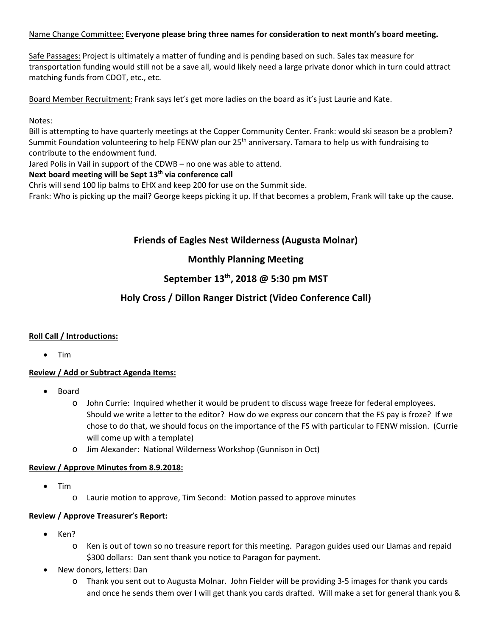### Name Change Committee: **Everyone please bring three names for consideration to next month's board meeting.**

Safe Passages: Project is ultimately a matter of funding and is pending based on such. Sales tax measure for transportation funding would still not be a save all, would likely need a large private donor which in turn could attract matching funds from CDOT, etc., etc.

Board Member Recruitment: Frank says let's get more ladies on the board as it's just Laurie and Kate.

Notes:

Bill is attempting to have quarterly meetings at the Copper Community Center. Frank: would ski season be a problem? Summit Foundation volunteering to help FENW plan our 25<sup>th</sup> anniversary. Tamara to help us with fundraising to contribute to the endowment fund.

Jared Polis in Vail in support of the CDWB – no one was able to attend.

### Next board meeting will be Sept 13<sup>th</sup> via conference call

Chris will send 100 lip balms to EHX and keep 200 for use on the Summit side.

Frank: Who is picking up the mail? George keeps picking it up. If that becomes a problem, Frank will take up the cause.

### **Friends of Eagles Nest Wilderness (Augusta Molnar)**

### **Monthly Planning Meeting**

### **September 13th, 2018 @ 5:30 pm MST**

### **Holy Cross / Dillon Ranger District (Video Conference Call)**

### **Roll Call / Introductions:**

• Tim

### **Review / Add or Subtract Agenda Items:**

- Board
	- o John Currie: Inquired whether it would be prudent to discuss wage freeze for federal employees. Should we write a letter to the editor? How do we express our concern that the FS pay is froze? If we chose to do that, we should focus on the importance of the FS with particular to FENW mission. (Currie will come up with a template)
	- o Jim Alexander: National Wilderness Workshop (Gunnison in Oct)

#### **Review / Approve Minutes from 8.9.2018:**

- Tim
	- o Laurie motion to approve, Tim Second: Motion passed to approve minutes

#### **Review / Approve Treasurer's Report:**

- Ken?
	- o Ken is out of town so no treasure report for this meeting. Paragon guides used our Llamas and repaid \$300 dollars: Dan sent thank you notice to Paragon for payment.
- New donors, letters: Dan
	- o Thank you sent out to Augusta Molnar. John Fielder will be providing 3‐5 images for thank you cards and once he sends them over I will get thank you cards drafted. Will make a set for general thank you &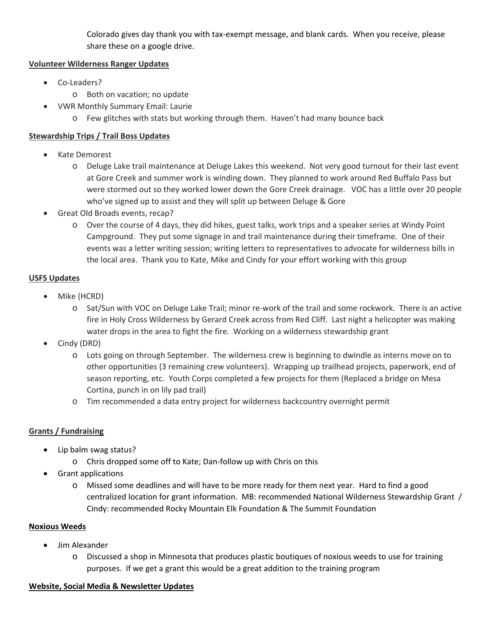Colorado gives day thank you with tax‐exempt message, and blank cards. When you receive, please share these on a google drive.

### **Volunteer Wilderness Ranger Updates**

- Co-Leaders?
	- o Both on vacation; no update
- VWR Monthly Summary Email: Laurie
	- o Few glitches with stats but working through them. Haven't had many bounce back

### **Stewardship Trips / Trail Boss Updates**

- Kate Demorest
	- o Deluge Lake trail maintenance at Deluge Lakes this weekend. Not very good turnout for their last event at Gore Creek and summer work is winding down. They planned to work around Red Buffalo Pass but were stormed out so they worked lower down the Gore Creek drainage. VOC has a little over 20 people who've signed up to assist and they will split up between Deluge & Gore
- Great Old Broads events, recap?
	- o Over the course of 4 days, they did hikes, guest talks, work trips and a speaker series at Windy Point Campground. They put some signage in and trail maintenance during their timeframe. One of their events was a letter writing session; writing letters to representatives to advocate for wilderness bills in the local area. Thank you to Kate, Mike and Cindy for your effort working with this group

### **USFS Updates**

- Mike (HCRD)
	- o Sat/Sun with VOC on Deluge Lake Trail; minor re‐work of the trail and some rockwork. There is an active fire in Holy Cross Wilderness by Gerard Creek across from Red Cliff. Last night a helicopter was making water drops in the area to fight the fire. Working on a wilderness stewardship grant
- Cindy (DRD)
	- o Lots going on through September. The wilderness crew is beginning to dwindle as interns move on to other opportunities (3 remaining crew volunteers). Wrapping up trailhead projects, paperwork, end of season reporting, etc. Youth Corps completed a few projects for them (Replaced a bridge on Mesa Cortina, punch in on lily pad trail)
	- o Tim recommended a data entry project for wilderness backcountry overnight permit

### **Grants / Fundraising**

- Lip balm swag status?
	- o Chris dropped some off to Kate; Dan‐follow up with Chris on this
- Grant applications
	- o Missed some deadlines and will have to be more ready for them next year. Hard to find a good centralized location for grant information. MB: recommended National Wilderness Stewardship Grant / Cindy: recommended Rocky Mountain Elk Foundation & The Summit Foundation

### **Noxious Weeds**

- Jim Alexander
	- o Discussed a shop in Minnesota that produces plastic boutiques of noxious weeds to use for training purposes. If we get a grant this would be a great addition to the training program

### **Website, Social Media & Newsletter Updates**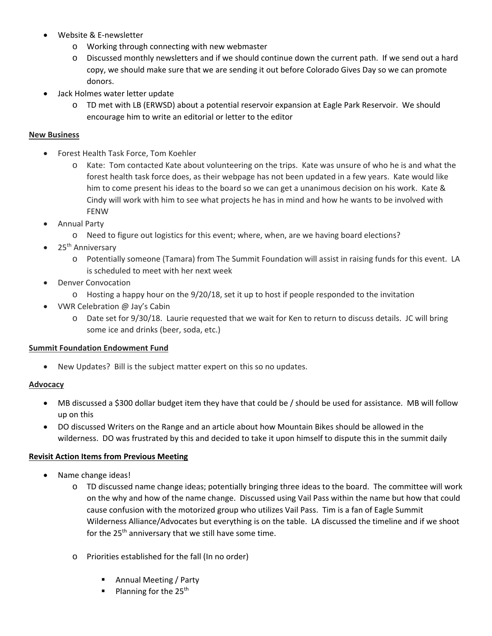- Website & E‐newsletter
	- o Working through connecting with new webmaster
	- o Discussed monthly newsletters and if we should continue down the current path. If we send out a hard copy, we should make sure that we are sending it out before Colorado Gives Day so we can promote donors.
- Jack Holmes water letter update
	- o TD met with LB (ERWSD) about a potential reservoir expansion at Eagle Park Reservoir. We should encourage him to write an editorial or letter to the editor

### **New Business**

- Forest Health Task Force, Tom Koehler
	- o Kate: Tom contacted Kate about volunteering on the trips. Kate was unsure of who he is and what the forest health task force does, as their webpage has not been updated in a few years. Kate would like him to come present his ideas to the board so we can get a unanimous decision on his work. Kate & Cindy will work with him to see what projects he has in mind and how he wants to be involved with FENW
- Annual Party
	- o Need to figure out logistics for this event; where, when, are we having board elections?
- 25<sup>th</sup> Anniversary
	- o Potentially someone (Tamara) from The Summit Foundation will assist in raising funds for this event. LA is scheduled to meet with her next week
- Denver Convocation
	- $\circ$  Hosting a happy hour on the 9/20/18, set it up to host if people responded to the invitation
- VWR Celebration @ Jay's Cabin
	- o Date set for 9/30/18. Laurie requested that we wait for Ken to return to discuss details. JC will bring some ice and drinks (beer, soda, etc.)

#### **Summit Foundation Endowment Fund**

New Updates? Bill is the subject matter expert on this so no updates.

#### **Advocacy**

- MB discussed a \$300 dollar budget item they have that could be / should be used for assistance. MB will follow up on this
- DO discussed Writers on the Range and an article about how Mountain Bikes should be allowed in the wilderness. DO was frustrated by this and decided to take it upon himself to dispute this in the summit daily

#### **Revisit Action Items from Previous Meeting**

- Name change ideas!
	- o TD discussed name change ideas; potentially bringing three ideas to the board. The committee will work on the why and how of the name change. Discussed using Vail Pass within the name but how that could cause confusion with the motorized group who utilizes Vail Pass. Tim is a fan of Eagle Summit Wilderness Alliance/Advocates but everything is on the table. LA discussed the timeline and if we shoot for the  $25<sup>th</sup>$  anniversary that we still have some time.
	- o Priorities established for the fall (In no order)
		- **Annual Meeting / Party**
		- Planning for the  $25<sup>th</sup>$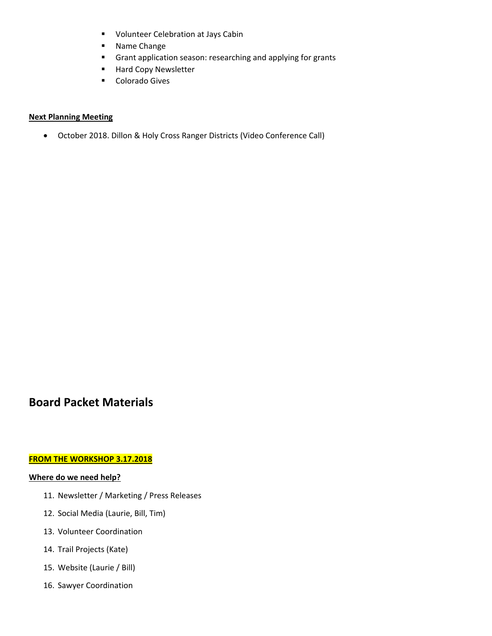- **U** Volunteer Celebration at Jays Cabin
- **Name Change**
- **F** Grant application season: researching and applying for grants
- **Hard Copy Newsletter**
- **-** Colorado Gives

#### **Next Planning Meeting**

October 2018. Dillon & Holy Cross Ranger Districts (Video Conference Call)

### **Board Packet Materials**

#### **FROM THE WORKSHOP 3.17.2018**

#### **Where do we need help?**

- 11. Newsletter / Marketing / Press Releases
- 12. Social Media (Laurie, Bill, Tim)
- 13. Volunteer Coordination
- 14. Trail Projects (Kate)
- 15. Website (Laurie / Bill)
- 16. Sawyer Coordination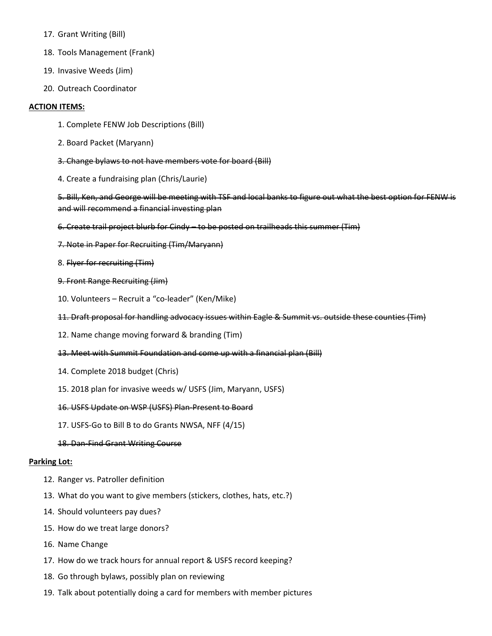- 17. Grant Writing (Bill)
- 18. Tools Management (Frank)
- 19. Invasive Weeds (Jim)
- 20. Outreach Coordinator

#### **ACTION ITEMS:**

- 1. Complete FENW Job Descriptions (Bill)
- 2. Board Packet (Maryann)
- 3. Change bylaws to not have members vote for board (Bill)
- 4. Create a fundraising plan (Chris/Laurie)

5. Bill, Ken, and George will be meeting with TSF and local banks to figure out what the best option for FENW is and will recommend a financial investing plan

- 6. Create trail project blurb for Cindy to be posted on trailheads this summer (Tim)
- 7. Note in Paper for Recruiting (Tim/Maryann)
- 8. Flyer for recruiting (Tim)
- 9. Front Range Recruiting (Jim)
- 10. Volunteers Recruit a "co‐leader" (Ken/Mike)
- 11. Draft proposal for handling advocacy issues within Eagle & Summit vs. outside these counties (Tim)
- 12. Name change moving forward & branding (Tim)
- 13. Meet with Summit Foundation and come up with a financial plan (Bill)
- 14. Complete 2018 budget (Chris)
- 15. 2018 plan for invasive weeds w/ USFS (Jim, Maryann, USFS)
- 16. USFS Update on WSP (USFS) Plan‐Present to Board
- 17. USFS‐Go to Bill B to do Grants NWSA, NFF (4/15)
- 18. Dan‐Find Grant Writing Course

#### **Parking Lot:**

- 12. Ranger vs. Patroller definition
- 13. What do you want to give members (stickers, clothes, hats, etc.?)
- 14. Should volunteers pay dues?
- 15. How do we treat large donors?
- 16. Name Change
- 17. How do we track hours for annual report & USFS record keeping?
- 18. Go through bylaws, possibly plan on reviewing
- 19. Talk about potentially doing a card for members with member pictures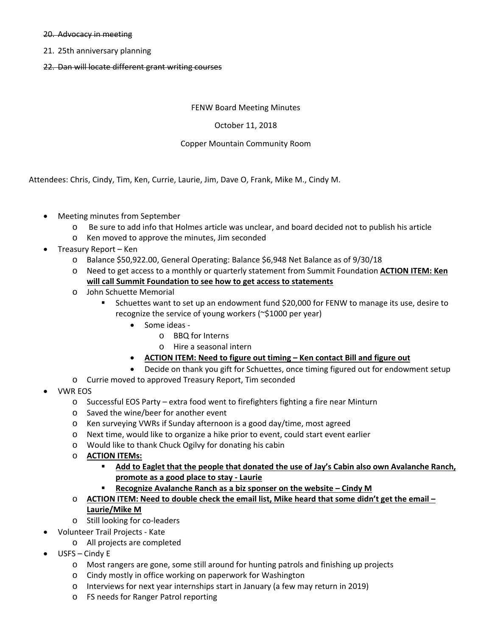#### 20. Advocacy in meeting

- 21. 25th anniversary planning
- 22. Dan will locate different grant writing courses

#### FENW Board Meeting Minutes

#### October 11, 2018

#### Copper Mountain Community Room

Attendees: Chris, Cindy, Tim, Ken, Currie, Laurie, Jim, Dave O, Frank, Mike M., Cindy M.

- Meeting minutes from September
	- o Be sure to add info that Holmes article was unclear, and board decided not to publish his article
	- o Ken moved to approve the minutes, Jim seconded
- Treasury Report Ken
	- o Balance \$50,922.00, General Operating: Balance \$6,948 Net Balance as of 9/30/18
	- o Need to get access to a monthly or quarterly statement from Summit Foundation **ACTION ITEM: Ken will call Summit Foundation to see how to get access to statements**
	- o John Schuette Memorial
		- **Schuettes want to set up an endowment fund \$20,000 for FENW to manage its use, desire to 1** recognize the service of young workers (~\$1000 per year)
			- Some ideas
				- o BBQ for Interns
				- o Hire a seasonal intern
			- **ACTION ITEM: Need to figure out timing Ken contact Bill and figure out**
		- Decide on thank you gift for Schuettes, once timing figured out for endowment setup
	- o Currie moved to approved Treasury Report, Tim seconded
- VWR EOS
	- o Successful EOS Party extra food went to firefighters fighting a fire near Minturn
	- o Saved the wine/beer for another event
	- o Ken surveying VWRs if Sunday afternoon is a good day/time, most agreed
	- o Next time, would like to organize a hike prior to event, could start event earlier
	- o Would like to thank Chuck Ogilvy for donating his cabin
	- o **ACTION ITEMs:** 
		- **Add to Eaglet that the people that donated the use of Jay's Cabin also own Avalanche Ranch, promote as a good place to stay ‐ Laurie**
		- **Recognize Avalanche Ranch as a biz sponser on the website Cindy M**
	- o **ACTION ITEM: Need to double check the email list, Mike heard that some didn't get the email Laurie/Mike M**
	- o Still looking for co‐leaders
- Volunteer Trail Projects ‐ Kate
	- o All projects are completed
- USFS Cindy E
	- o Most rangers are gone, some still around for hunting patrols and finishing up projects
	- o Cindy mostly in office working on paperwork for Washington
	- o Interviews for next year internships start in January (a few may return in 2019)
	- o FS needs for Ranger Patrol reporting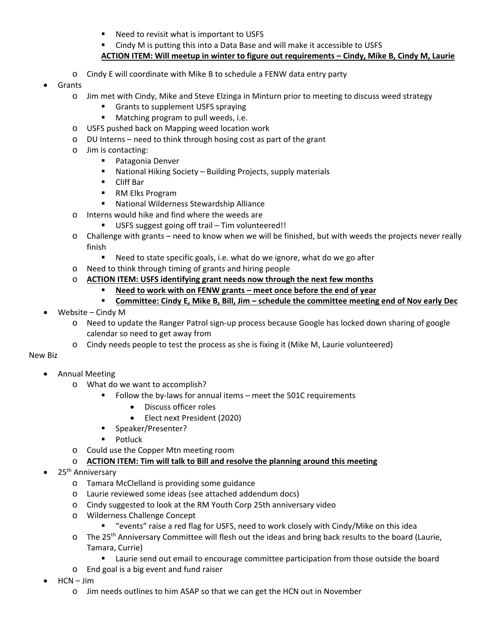- Need to revisit what is important to USFS
- Cindy M is putting this into a Data Base and will make it accessible to USFS
- **ACTION ITEM: Will meetup in winter to figure out requirements Cindy, Mike B, Cindy M, Laurie**
- o Cindy E will coordinate with Mike B to schedule a FENW data entry party
- Grants
	- o Jim met with Cindy, Mike and Steve Elzinga in Minturn prior to meeting to discuss weed strategy
		- Grants to supplement USFS spraying
		- **Matching program to pull weeds, i.e.**
	- o USFS pushed back on Mapping weed location work
	- o DU Interns need to think through hosing cost as part of the grant
	- o Jim is contacting:
		- **Patagonia Denver**
		- National Hiking Society Building Projects, supply materials
		- Cliff Bar
		- RM Elks Program
		- National Wilderness Stewardship Alliance
	- o Interns would hike and find where the weeds are
		- USFS suggest going off trail Tim volunteered!!
	- o Challenge with grants need to know when we will be finished, but with weeds the projects never really finish
		- Need to state specific goals, i.e. what do we ignore, what do we go after
	- o Need to think through timing of grants and hiring people
	- o **ACTION ITEM: USFS identifying grant needs now through the next few months** 
		- **Need to work with on FENW grants meet once before the end of year**
		- **Committee: Cindy E, Mike B, Bill, Jim schedule the committee meeting end of Nov early Dec**
- Website Cindy M
	- o Need to update the Ranger Patrol sign‐up process because Google has locked down sharing of google calendar so need to get away from
	- o Cindy needs people to test the process as she is fixing it (Mike M, Laurie volunteered)

#### New Biz

- Annual Meeting
	- o What do we want to accomplish?
		- Follow the by-laws for annual items meet the 501C requirements
			- Discuss officer roles
			- Elect next President (2020)
			- **Speaker/Presenter?**
			- **Potluck**
	- o Could use the Copper Mtn meeting room
	- o **ACTION ITEM: Tim will talk to Bill and resolve the planning around this meeting**
- 25<sup>th</sup> Anniversary
	- o Tamara McClelland is providing some guidance
	- o Laurie reviewed some ideas (see attached addendum docs)
	- o Cindy suggested to look at the RM Youth Corp 25th anniversary video
	- o Wilderness Challenge Concept
		- "events" raise a red flag for USFS, need to work closely with Cindy/Mike on this idea
	- $\circ$  The 25<sup>th</sup> Anniversary Committee will flesh out the ideas and bring back results to the board (Laurie, Tamara, Currie)
		- **EXEC** Laurie send out email to encourage committee participation from those outside the board
	- o End goal is a big event and fund raiser
- HCN Jim
	- o Jim needs outlines to him ASAP so that we can get the HCN out in November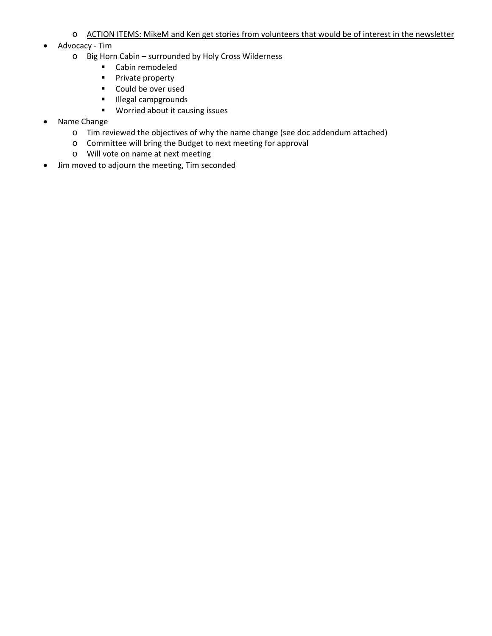- o ACTION ITEMS: MikeM and Ken get stories from volunteers that would be of interest in the newsletter
- Advocacy Tim
	- o Big Horn Cabin surrounded by Holy Cross Wilderness
		- Cabin remodeled
		- **Private property**
		- Could be over used
		- **Illegal campgrounds**
		- **Worried about it causing issues**
- Name Change
	- o Tim reviewed the objectives of why the name change (see doc addendum attached)
	- o Committee will bring the Budget to next meeting for approval
	- o Will vote on name at next meeting
- Jim moved to adjourn the meeting, Tim seconded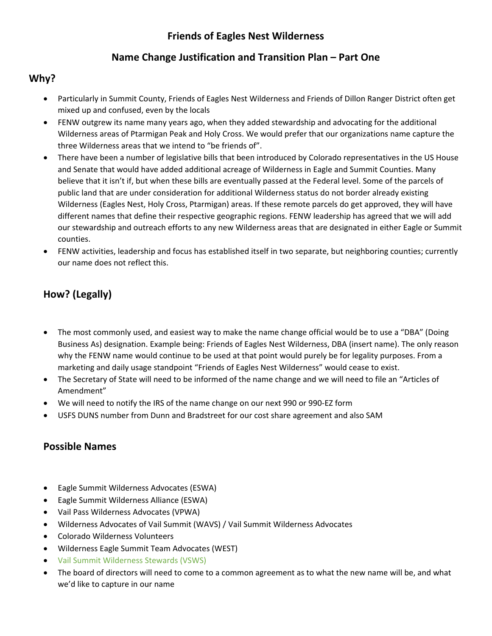### **Friends of Eagles Nest Wilderness**

### **Name Change Justification and Transition Plan – Part One**

### **Why?**

- Particularly in Summit County, Friends of Eagles Nest Wilderness and Friends of Dillon Ranger District often get mixed up and confused, even by the locals
- FENW outgrew its name many years ago, when they added stewardship and advocating for the additional Wilderness areas of Ptarmigan Peak and Holy Cross. We would prefer that our organizations name capture the three Wilderness areas that we intend to "be friends of".
- There have been a number of legislative bills that been introduced by Colorado representatives in the US House and Senate that would have added additional acreage of Wilderness in Eagle and Summit Counties. Many believe that it isn't if, but when these bills are eventually passed at the Federal level. Some of the parcels of public land that are under consideration for additional Wilderness status do not border already existing Wilderness (Eagles Nest, Holy Cross, Ptarmigan) areas. If these remote parcels do get approved, they will have different names that define their respective geographic regions. FENW leadership has agreed that we will add our stewardship and outreach efforts to any new Wilderness areas that are designated in either Eagle or Summit counties.
- FENW activities, leadership and focus has established itself in two separate, but neighboring counties; currently our name does not reflect this.

# **How? (Legally)**

- The most commonly used, and easiest way to make the name change official would be to use a "DBA" (Doing Business As) designation. Example being: Friends of Eagles Nest Wilderness, DBA (insert name). The only reason why the FENW name would continue to be used at that point would purely be for legality purposes. From a marketing and daily usage standpoint "Friends of Eagles Nest Wilderness" would cease to exist.
- The Secretary of State will need to be informed of the name change and we will need to file an "Articles of Amendment"
- We will need to notify the IRS of the name change on our next 990 or 990‐EZ form
- USFS DUNS number from Dunn and Bradstreet for our cost share agreement and also SAM

### **Possible Names**

- Eagle Summit Wilderness Advocates (ESWA)
- Eagle Summit Wilderness Alliance (ESWA)
- Vail Pass Wilderness Advocates (VPWA)
- Wilderness Advocates of Vail Summit (WAVS) / Vail Summit Wilderness Advocates
- Colorado Wilderness Volunteers
- Wilderness Eagle Summit Team Advocates (WEST)
- Vail Summit Wilderness Stewards (VSWS)
- The board of directors will need to come to a common agreement as to what the new name will be, and what we'd like to capture in our name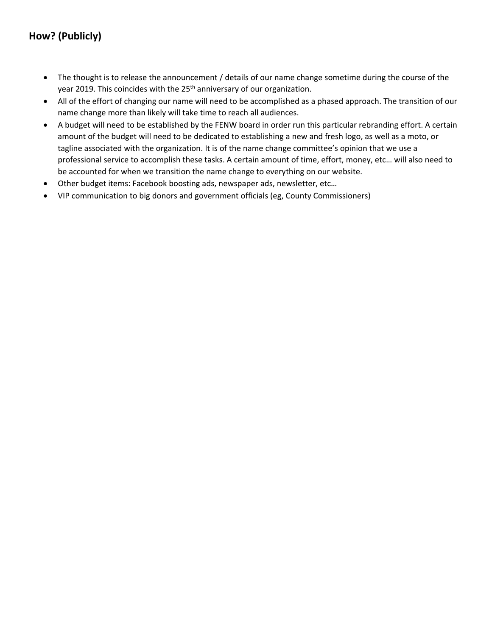# **How? (Publicly)**

- The thought is to release the announcement / details of our name change sometime during the course of the year 2019. This coincides with the 25<sup>th</sup> anniversary of our organization.
- All of the effort of changing our name will need to be accomplished as a phased approach. The transition of our name change more than likely will take time to reach all audiences.
- A budget will need to be established by the FENW board in order run this particular rebranding effort. A certain amount of the budget will need to be dedicated to establishing a new and fresh logo, as well as a moto, or tagline associated with the organization. It is of the name change committee's opinion that we use a professional service to accomplish these tasks. A certain amount of time, effort, money, etc… will also need to be accounted for when we transition the name change to everything on our website.
- Other budget items: Facebook boosting ads, newspaper ads, newsletter, etc…
- VIP communication to big donors and government officials (eg, County Commissioners)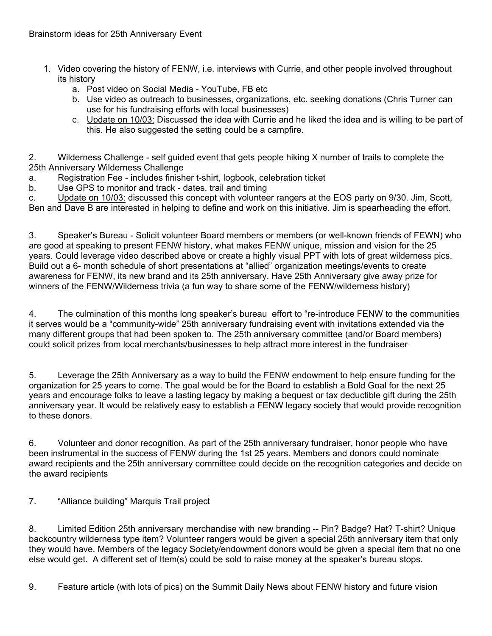- 1. Video covering the history of FENW, i.e. interviews with Currie, and other people involved throughout its history
	- a. Post video on Social Media YouTube, FB etc
	- b. Use video as outreach to businesses, organizations, etc. seeking donations (Chris Turner can use for his fundraising efforts with local businesses)
	- c. Update on 10/03: Discussed the idea with Currie and he liked the idea and is willing to be part of this. He also suggested the setting could be a campfire.

2. Wilderness Challenge - self guided event that gets people hiking X number of trails to complete the 25th Anniversary Wilderness Challenge

- a. Registration Fee includes finisher t-shirt, logbook, celebration ticket
- b. Use GPS to monitor and track dates, trail and timing

c. Update on 10/03: discussed this concept with volunteer rangers at the EOS party on 9/30. Jim, Scott, Ben and Dave B are interested in helping to define and work on this initiative. Jim is spearheading the effort.

3. Speaker's Bureau - Solicit volunteer Board members or members (or well-known friends of FEWN) who are good at speaking to present FENW history, what makes FENW unique, mission and vision for the 25 years. Could leverage video described above or create a highly visual PPT with lots of great wilderness pics. Build out a 6- month schedule of short presentations at "allied" organization meetings/events to create awareness for FENW, its new brand and its 25th anniversary. Have 25th Anniversary give away prize for winners of the FENW/Wilderness trivia (a fun way to share some of the FENW/wilderness history)

4. The culmination of this months long speaker's bureau effort to "re-introduce FENW to the communities it serves would be a "community-wide" 25th anniversary fundraising event with invitations extended via the many different groups that had been spoken to. The 25th anniversary committee (and/or Board members) could solicit prizes from local merchants/businesses to help attract more interest in the fundraiser

5. Leverage the 25th Anniversary as a way to build the FENW endowment to help ensure funding for the organization for 25 years to come. The goal would be for the Board to establish a Bold Goal for the next 25 years and encourage folks to leave a lasting legacy by making a bequest or tax deductible gift during the 25th anniversary year. It would be relatively easy to establish a FENW legacy society that would provide recognition to these donors.

6. Volunteer and donor recognition. As part of the 25th anniversary fundraiser, honor people who have been instrumental in the success of FENW during the 1st 25 years. Members and donors could nominate award recipients and the 25th anniversary committee could decide on the recognition categories and decide on the award recipients

7. "Alliance building" Marquis Trail project

8. Limited Edition 25th anniversary merchandise with new branding -- Pin? Badge? Hat? T-shirt? Unique backcountry wilderness type item? Volunteer rangers would be given a special 25th anniversary item that only they would have. Members of the legacy Society/endowment donors would be given a special item that no one else would get. A different set of Item(s) could be sold to raise money at the speaker's bureau stops.

9. Feature article (with lots of pics) on the Summit Daily News about FENW history and future vision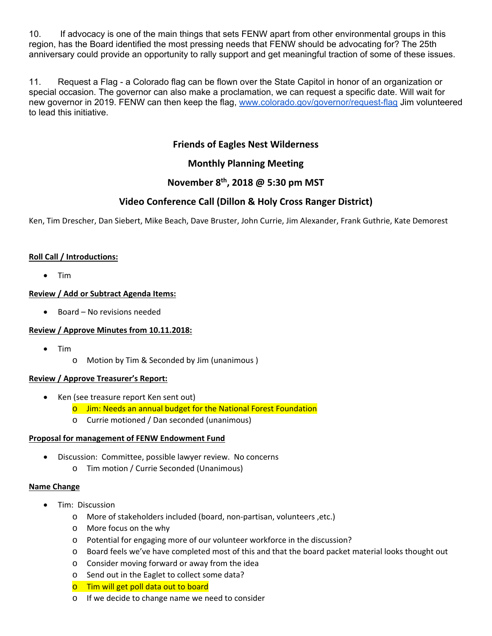10. If advocacy is one of the main things that sets FENW apart from other environmental groups in this region, has the Board identified the most pressing needs that FENW should be advocating for? The 25th anniversary could provide an opportunity to rally support and get meaningful traction of some of these issues.

11. Request a Flag - a Colorado flag can be flown over the State Capitol in honor of an organization or special occasion. The governor can also make a proclamation, we can request a specific date. Will wait for new governor in 2019. FENW can then keep the flag, www.colorado.gov/governor/request-flag Jim volunteered to lead this initiative.

### **Friends of Eagles Nest Wilderness**

### **Monthly Planning Meeting**

### **November 8th, 2018 @ 5:30 pm MST**

### **Video Conference Call (Dillon & Holy Cross Ranger District)**

Ken, Tim Drescher, Dan Siebert, Mike Beach, Dave Bruster, John Currie, Jim Alexander, Frank Guthrie, Kate Demorest

### **Roll Call / Introductions:**

Tim

### **Review / Add or Subtract Agenda Items:**

• Board – No revisions needed

#### **Review / Approve Minutes from 10.11.2018:**

- Tim
	- o Motion by Tim & Seconded by Jim (unanimous )

#### **Review / Approve Treasurer's Report:**

- Ken (see treasure report Ken sent out)
	- o Jim: Needs an annual budget for the National Forest Foundation
	- o Currie motioned / Dan seconded (unanimous)

#### **Proposal for management of FENW Endowment Fund**

- Discussion: Committee, possible lawyer review. No concerns
	- o Tim motion / Currie Seconded (Unanimous)

#### **Name Change**

- Tim: Discussion
	- o More of stakeholders included (board, non‐partisan, volunteers ,etc.)
	- o More focus on the why
	- o Potential for engaging more of our volunteer workforce in the discussion?
	- o Board feels we've have completed most of this and that the board packet material looks thought out
	- o Consider moving forward or away from the idea
	- o Send out in the Eaglet to collect some data?
	- o Tim will get poll data out to board
	- o If we decide to change name we need to consider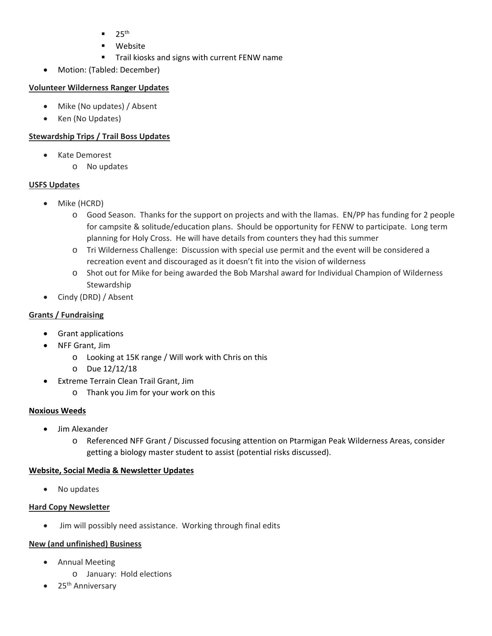- $25<sup>th</sup>$
- Website
- **Trail kiosks and signs with current FENW name**
- Motion: (Tabled: December)

### **Volunteer Wilderness Ranger Updates**

- Mike (No updates) / Absent
- Ken (No Updates)

### **Stewardship Trips / Trail Boss Updates**

- Kate Demorest
	- o No updates

### **USFS Updates**

- Mike (HCRD)
	- o Good Season. Thanks for the support on projects and with the llamas. EN/PP has funding for 2 people for campsite & solitude/education plans. Should be opportunity for FENW to participate. Long term planning for Holy Cross. He will have details from counters they had this summer
	- o Tri Wilderness Challenge: Discussion with special use permit and the event will be considered a recreation event and discouraged as it doesn't fit into the vision of wilderness
	- o Shot out for Mike for being awarded the Bob Marshal award for Individual Champion of Wilderness Stewardship
- Cindy (DRD) / Absent

### **Grants / Fundraising**

- Grant applications
- NFF Grant, Jim
	- o Looking at 15K range / Will work with Chris on this
	- o Due 12/12/18
- Extreme Terrain Clean Trail Grant, Jim
	- o Thank you Jim for your work on this

### **Noxious Weeds**

- Jim Alexander
	- o Referenced NFF Grant / Discussed focusing attention on Ptarmigan Peak Wilderness Areas, consider getting a biology master student to assist (potential risks discussed).

### **Website, Social Media & Newsletter Updates**

• No updates

### **Hard Copy Newsletter**

• Jim will possibly need assistance. Working through final edits

### **New (and unfinished) Business**

- Annual Meeting
	- o January: Hold elections
- 25<sup>th</sup> Anniversary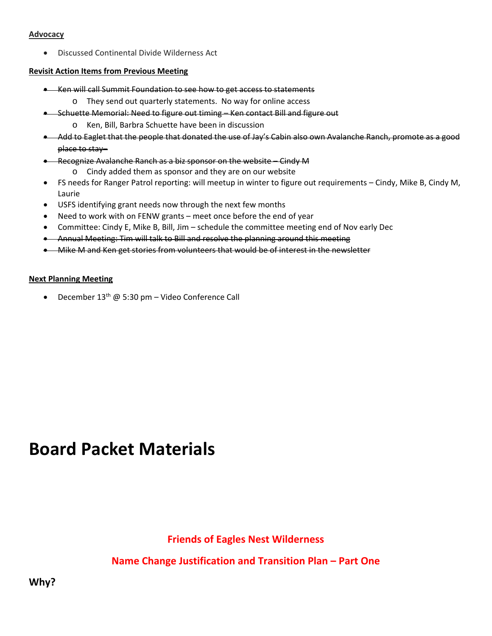#### **Advocacy**

Discussed Continental Divide Wilderness Act

### **Revisit Action Items from Previous Meeting**

- **EXECT** Ken will call Summit Foundation to see how to get access to statements
	- o They send out quarterly statements. No way for online access
- Schuette Memorial: Need to figure out timing Ken contact Bill and figure out
	- o Ken, Bill, Barbra Schuette have been in discussion
- Add to Eaglet that the people that donated the use of Jay's Cabin also own Avalanche Ranch, promote as a good place to stay–
- Recognize Avalanche Ranch as a biz sponsor on the website Cindy M o Cindy added them as sponsor and they are on our website
- FS needs for Ranger Patrol reporting: will meetup in winter to figure out requirements Cindy, Mike B, Cindy M, Laurie
- USFS identifying grant needs now through the next few months
- Need to work with on FENW grants meet once before the end of year
- Committee: Cindy E, Mike B, Bill, Jim schedule the committee meeting end of Nov early Dec
- Annual Meeting: Tim will talk to Bill and resolve the planning around this meeting
- Mike M and Ken get stories from volunteers that would be of interest in the newsletter

### **Next Planning Meeting**

• December  $13^{th}$  @ 5:30 pm – Video Conference Call

# **Board Packet Materials**

# **Friends of Eagles Nest Wilderness**

# **Name Change Justification and Transition Plan – Part One**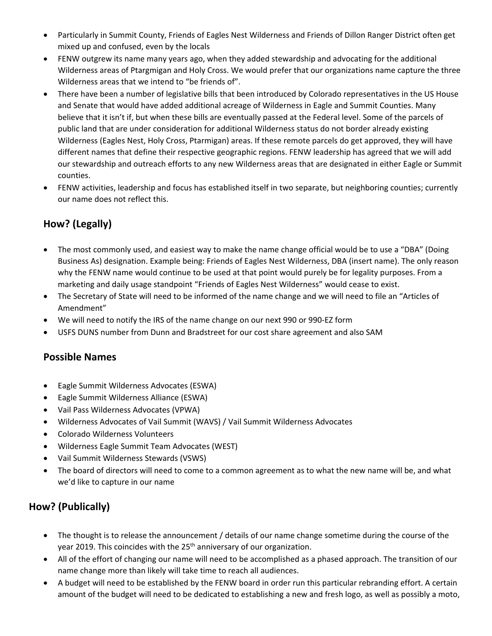- Particularly in Summit County, Friends of Eagles Nest Wilderness and Friends of Dillon Ranger District often get mixed up and confused, even by the locals
- FENW outgrew its name many years ago, when they added stewardship and advocating for the additional Wilderness areas of Ptargmigan and Holy Cross. We would prefer that our organizations name capture the three Wilderness areas that we intend to "be friends of".
- There have been a number of legislative bills that been introduced by Colorado representatives in the US House and Senate that would have added additional acreage of Wilderness in Eagle and Summit Counties. Many believe that it isn't if, but when these bills are eventually passed at the Federal level. Some of the parcels of public land that are under consideration for additional Wilderness status do not border already existing Wilderness (Eagles Nest, Holy Cross, Ptarmigan) areas. If these remote parcels do get approved, they will have different names that define their respective geographic regions. FENW leadership has agreed that we will add our stewardship and outreach efforts to any new Wilderness areas that are designated in either Eagle or Summit counties.
- FENW activities, leadership and focus has established itself in two separate, but neighboring counties; currently our name does not reflect this.

# **How? (Legally)**

- The most commonly used, and easiest way to make the name change official would be to use a "DBA" (Doing Business As) designation. Example being: Friends of Eagles Nest Wilderness, DBA (insert name). The only reason why the FENW name would continue to be used at that point would purely be for legality purposes. From a marketing and daily usage standpoint "Friends of Eagles Nest Wilderness" would cease to exist.
- The Secretary of State will need to be informed of the name change and we will need to file an "Articles of Amendment"
- We will need to notify the IRS of the name change on our next 990 or 990‐EZ form
- USFS DUNS number from Dunn and Bradstreet for our cost share agreement and also SAM

### **Possible Names**

- Eagle Summit Wilderness Advocates (ESWA)
- Eagle Summit Wilderness Alliance (ESWA)
- Vail Pass Wilderness Advocates (VPWA)
- Wilderness Advocates of Vail Summit (WAVS) / Vail Summit Wilderness Advocates
- Colorado Wilderness Volunteers
- Wilderness Eagle Summit Team Advocates (WEST)
- Vail Summit Wilderness Stewards (VSWS)
- The board of directors will need to come to a common agreement as to what the new name will be, and what we'd like to capture in our name

# **How? (Publically)**

- The thought is to release the announcement / details of our name change sometime during the course of the year 2019. This coincides with the 25<sup>th</sup> anniversary of our organization.
- All of the effort of changing our name will need to be accomplished as a phased approach. The transition of our name change more than likely will take time to reach all audiences.
- A budget will need to be established by the FENW board in order run this particular rebranding effort. A certain amount of the budget will need to be dedicated to establishing a new and fresh logo, as well as possibly a moto,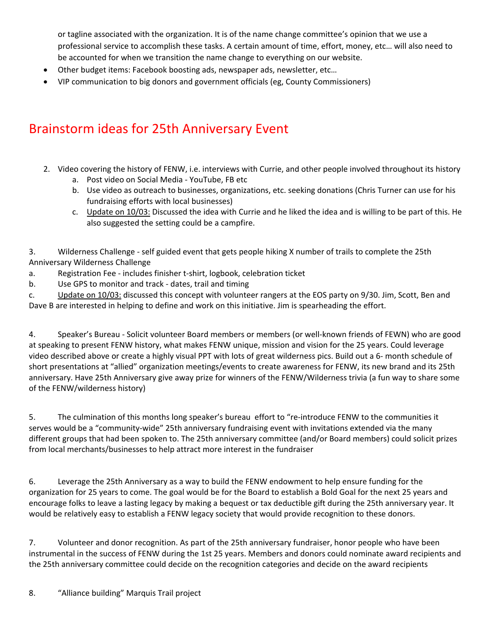or tagline associated with the organization. It is of the name change committee's opinion that we use a professional service to accomplish these tasks. A certain amount of time, effort, money, etc… will also need to be accounted for when we transition the name change to everything on our website.

- Other budget items: Facebook boosting ads, newspaper ads, newsletter, etc…
- VIP communication to big donors and government officials (eg, County Commissioners)

# Brainstorm ideas for 25th Anniversary Event

- 2. Video covering the history of FENW, i.e. interviews with Currie, and other people involved throughout its history
	- a. Post video on Social Media ‐ YouTube, FB etc
	- b. Use video as outreach to businesses, organizations, etc. seeking donations (Chris Turner can use for his fundraising efforts with local businesses)
	- c. Update on 10/03: Discussed the idea with Currie and he liked the idea and is willing to be part of this. He also suggested the setting could be a campfire.

3. Wilderness Challenge ‐ self guided event that gets people hiking X number of trails to complete the 25th Anniversary Wilderness Challenge

- a. Registration Fee ‐ includes finisher t‐shirt, logbook, celebration ticket
- b. Use GPS to monitor and track ‐ dates, trail and timing

c. Update on 10/03: discussed this concept with volunteer rangers at the EOS party on 9/30. Jim, Scott, Ben and Dave B are interested in helping to define and work on this initiative. Jim is spearheading the effort.

4. Speaker's Bureau ‐ Solicit volunteer Board members or members (or well‐known friends of FEWN) who are good at speaking to present FENW history, what makes FENW unique, mission and vision for the 25 years. Could leverage video described above or create a highly visual PPT with lots of great wilderness pics. Build out a 6‐ month schedule of short presentations at "allied" organization meetings/events to create awareness for FENW, its new brand and its 25th anniversary. Have 25th Anniversary give away prize for winners of the FENW/Wilderness trivia (a fun way to share some of the FENW/wilderness history)

5. The culmination of this months long speaker's bureau effort to "re-introduce FENW to the communities it serves would be a "community-wide" 25th anniversary fundraising event with invitations extended via the many different groups that had been spoken to. The 25th anniversary committee (and/or Board members) could solicit prizes from local merchants/businesses to help attract more interest in the fundraiser

6. Leverage the 25th Anniversary as a way to build the FENW endowment to help ensure funding for the organization for 25 years to come. The goal would be for the Board to establish a Bold Goal for the next 25 years and encourage folks to leave a lasting legacy by making a bequest or tax deductible gift during the 25th anniversary year. It would be relatively easy to establish a FENW legacy society that would provide recognition to these donors.

7. Volunteer and donor recognition. As part of the 25th anniversary fundraiser, honor people who have been instrumental in the success of FENW during the 1st 25 years. Members and donors could nominate award recipients and the 25th anniversary committee could decide on the recognition categories and decide on the award recipients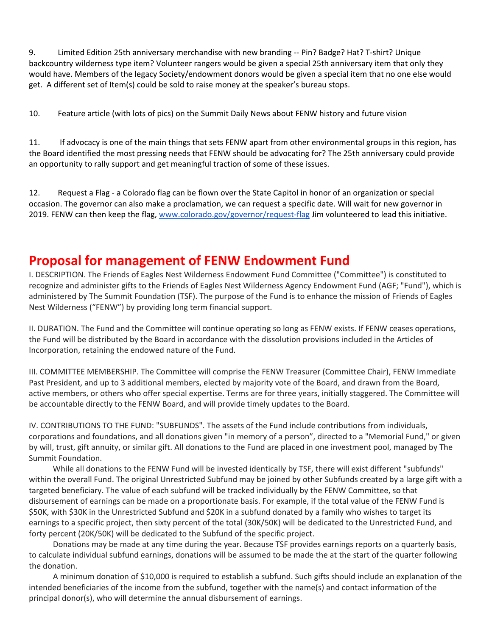9. Limited Edition 25th anniversary merchandise with new branding -- Pin? Badge? Hat? T-shirt? Unique backcountry wilderness type item? Volunteer rangers would be given a special 25th anniversary item that only they would have. Members of the legacy Society/endowment donors would be given a special item that no one else would get. A different set of Item(s) could be sold to raise money at the speaker's bureau stops.

10. Feature article (with lots of pics) on the Summit Daily News about FENW history and future vision

11. If advocacy is one of the main things that sets FENW apart from other environmental groups in this region, has the Board identified the most pressing needs that FENW should be advocating for? The 25th anniversary could provide an opportunity to rally support and get meaningful traction of some of these issues.

12. Request a Flag ‐ a Colorado flag can be flown over the State Capitol in honor of an organization or special occasion. The governor can also make a proclamation, we can request a specific date. Will wait for new governor in 2019. FENW can then keep the flag, www.colorado.gov/governor/request-flag Jim volunteered to lead this initiative.

# **Proposal for management of FENW Endowment Fund**

I. DESCRIPTION. The Friends of Eagles Nest Wilderness Endowment Fund Committee ("Committee") is constituted to recognize and administer gifts to the Friends of Eagles Nest Wilderness Agency Endowment Fund (AGF; "Fund"), which is administered by The Summit Foundation (TSF). The purpose of the Fund is to enhance the mission of Friends of Eagles Nest Wilderness ("FENW") by providing long term financial support.

II. DURATION. The Fund and the Committee will continue operating so long as FENW exists. If FENW ceases operations, the Fund will be distributed by the Board in accordance with the dissolution provisions included in the Articles of Incorporation, retaining the endowed nature of the Fund.

III. COMMITTEE MEMBERSHIP. The Committee will comprise the FENW Treasurer (Committee Chair), FENW Immediate Past President, and up to 3 additional members, elected by majority vote of the Board, and drawn from the Board, active members, or others who offer special expertise. Terms are for three years, initially staggered. The Committee will be accountable directly to the FENW Board, and will provide timely updates to the Board.

IV. CONTRIBUTIONS TO THE FUND: "SUBFUNDS". The assets of the Fund include contributions from individuals, corporations and foundations, and all donations given "in memory of a person", directed to a "Memorial Fund," or given by will, trust, gift annuity, or similar gift. All donations to the Fund are placed in one investment pool, managed by The Summit Foundation.

 While all donations to the FENW Fund will be invested identically by TSF, there will exist different "subfunds" within the overall Fund. The original Unrestricted Subfund may be joined by other Subfunds created by a large gift with a targeted beneficiary. The value of each subfund will be tracked individually by the FENW Committee, so that disbursement of earnings can be made on a proportionate basis. For example, if the total value of the FENW Fund is \$50K, with \$30K in the Unrestricted Subfund and \$20K in a subfund donated by a family who wishes to target its earnings to a specific project, then sixty percent of the total (30K/50K) will be dedicated to the Unrestricted Fund, and forty percent (20K/50K) will be dedicated to the Subfund of the specific project.

 Donations may be made at any time during the year. Because TSF provides earnings reports on a quarterly basis, to calculate individual subfund earnings, donations will be assumed to be made the at the start of the quarter following the donation.

 A minimum donation of \$10,000 is required to establish a subfund. Such gifts should include an explanation of the intended beneficiaries of the income from the subfund, together with the name(s) and contact information of the principal donor(s), who will determine the annual disbursement of earnings.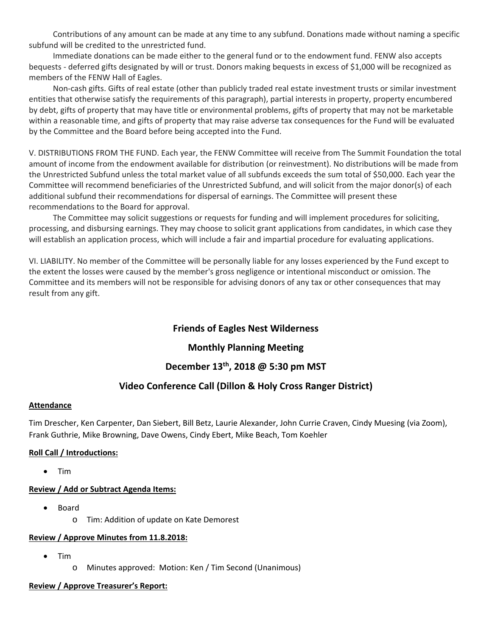Contributions of any amount can be made at any time to any subfund. Donations made without naming a specific subfund will be credited to the unrestricted fund.

 Immediate donations can be made either to the general fund or to the endowment fund. FENW also accepts bequests ‐ deferred gifts designated by will or trust. Donors making bequests in excess of \$1,000 will be recognized as members of the FENW Hall of Eagles.

Non-cash gifts. Gifts of real estate (other than publicly traded real estate investment trusts or similar investment entities that otherwise satisfy the requirements of this paragraph), partial interests in property, property encumbered by debt, gifts of property that may have title or environmental problems, gifts of property that may not be marketable within a reasonable time, and gifts of property that may raise adverse tax consequences for the Fund will be evaluated by the Committee and the Board before being accepted into the Fund.

V. DISTRIBUTIONS FROM THE FUND. Each year, the FENW Committee will receive from The Summit Foundation the total amount of income from the endowment available for distribution (or reinvestment). No distributions will be made from the Unrestricted Subfund unless the total market value of all subfunds exceeds the sum total of \$50,000. Each year the Committee will recommend beneficiaries of the Unrestricted Subfund, and will solicit from the major donor(s) of each additional subfund their recommendations for dispersal of earnings. The Committee will present these recommendations to the Board for approval.

 The Committee may solicit suggestions or requests for funding and will implement procedures for soliciting, processing, and disbursing earnings. They may choose to solicit grant applications from candidates, in which case they will establish an application process, which will include a fair and impartial procedure for evaluating applications.

VI. LIABILITY. No member of the Committee will be personally liable for any losses experienced by the Fund except to the extent the losses were caused by the member's gross negligence or intentional misconduct or omission. The Committee and its members will not be responsible for advising donors of any tax or other consequences that may result from any gift.

### **Friends of Eagles Nest Wilderness**

### **Monthly Planning Meeting**

### **December 13th, 2018 @ 5:30 pm MST**

### **Video Conference Call (Dillon & Holy Cross Ranger District)**

#### **Attendance**

Tim Drescher, Ken Carpenter, Dan Siebert, Bill Betz, Laurie Alexander, John Currie Craven, Cindy Muesing (via Zoom), Frank Guthrie, Mike Browning, Dave Owens, Cindy Ebert, Mike Beach, Tom Koehler

#### **Roll Call / Introductions:**

Tim

### **Review / Add or Subtract Agenda Items:**

- Board
	- o Tim: Addition of update on Kate Demorest

### **Review / Approve Minutes from 11.8.2018:**

- $\bullet$  Tim
	- o Minutes approved: Motion: Ken / Tim Second (Unanimous)

### **Review / Approve Treasurer's Report:**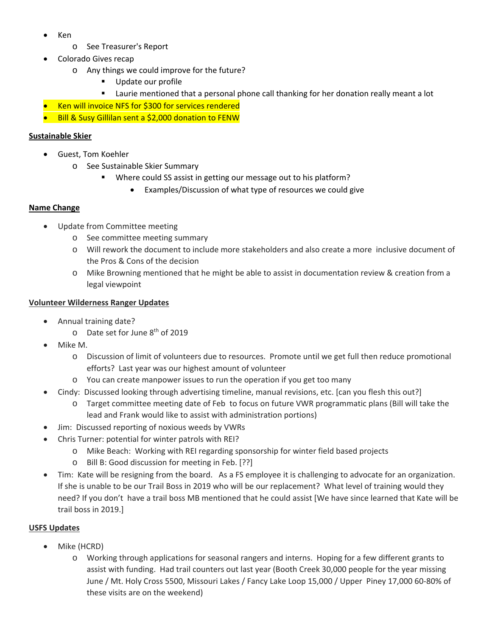- Ken
	- o See Treasurer's Report
- Colorado Gives recap
	- o Any things we could improve for the future?
		- Update our profile
		- Laurie mentioned that a personal phone call thanking for her donation really meant a lot
- Ken will invoice NFS for \$300 for services rendered
- Bill & Susy Gillilan sent a \$2,000 donation to FENW

#### **Sustainable Skier**

- Guest, Tom Koehler
	- o See Sustainable Skier Summary
		- Where could SS assist in getting our message out to his platform?
			- Examples/Discussion of what type of resources we could give

#### **Name Change**

- Update from Committee meeting
	- o See committee meeting summary
	- o Will rework the document to include more stakeholders and also create a more inclusive document of the Pros & Cons of the decision
	- o Mike Browning mentioned that he might be able to assist in documentation review & creation from a legal viewpoint

#### **Volunteer Wilderness Ranger Updates**

- Annual training date?
	- o Date set for June 8th of 2019
- Mike M.
	- o Discussion of limit of volunteers due to resources. Promote until we get full then reduce promotional efforts? Last year was our highest amount of volunteer
	- o You can create manpower issues to run the operation if you get too many
- Cindy: Discussed looking through advertising timeline, manual revisions, etc. [can you flesh this out?]
	- o Target committee meeting date of Feb to focus on future VWR programmatic plans (Bill will take the lead and Frank would like to assist with administration portions)
- Jim: Discussed reporting of noxious weeds by VWRs
- Chris Turner: potential for winter patrols with REI?
	- o Mike Beach: Working with REI regarding sponsorship for winter field based projects
	- o Bill B: Good discussion for meeting in Feb. [??]
- Tim: Kate will be resigning from the board. As a FS employee it is challenging to advocate for an organization. If she is unable to be our Trail Boss in 2019 who will be our replacement? What level of training would they need? If you don't have a trail boss MB mentioned that he could assist [We have since learned that Kate will be trail boss in 2019.]

#### **USFS Updates**

- Mike (HCRD)
	- o Working through applications for seasonal rangers and interns. Hoping for a few different grants to assist with funding. Had trail counters out last year (Booth Creek 30,000 people for the year missing June / Mt. Holy Cross 5500, Missouri Lakes / Fancy Lake Loop 15,000 / Upper Piney 17,000 60‐80% of these visits are on the weekend)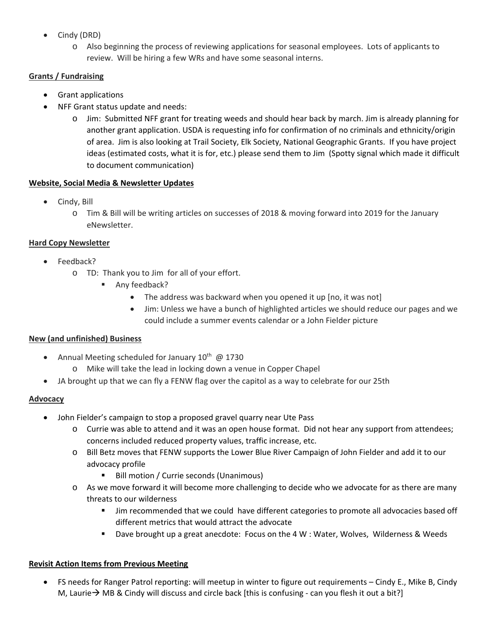- Cindy (DRD)
	- o Also beginning the process of reviewing applications for seasonal employees. Lots of applicants to review. Will be hiring a few WRs and have some seasonal interns.

### **Grants / Fundraising**

- Grant applications
- NFF Grant status update and needs:
	- o Jim: Submitted NFF grant for treating weeds and should hear back by march. Jim is already planning for another grant application. USDA is requesting info for confirmation of no criminals and ethnicity/origin of area. Jim is also looking at Trail Society, Elk Society, National Geographic Grants. If you have project ideas (estimated costs, what it is for, etc.) please send them to Jim (Spotty signal which made it difficult to document communication)

### **Website, Social Media & Newsletter Updates**

- Cindy, Bill
	- o Tim & Bill will be writing articles on successes of 2018 & moving forward into 2019 for the January eNewsletter.

### **Hard Copy Newsletter**

- Feedback?
	- o TD: Thank you to Jim for all of your effort.
		- Any feedback?
			- The address was backward when you opened it up [no, it was not]
			- Jim: Unless we have a bunch of highlighted articles we should reduce our pages and we could include a summer events calendar or a John Fielder picture

### **New (and unfinished) Business**

- Annual Meeting scheduled for January  $10^{th}$  @ 1730
	- o Mike will take the lead in locking down a venue in Copper Chapel
- JA brought up that we can fly a FENW flag over the capitol as a way to celebrate for our 25th

### **Advocacy**

- John Fielder's campaign to stop a proposed gravel quarry near Ute Pass
	- o Currie was able to attend and it was an open house format. Did not hear any support from attendees; concerns included reduced property values, traffic increase, etc.
	- o Bill Betz moves that FENW supports the Lower Blue River Campaign of John Fielder and add it to our advocacy profile
		- **Bill motion / Currie seconds (Unanimous)**
	- $\circ$  As we move forward it will become more challenging to decide who we advocate for as there are many threats to our wilderness
		- **IF** Jim recommended that we could have different categories to promote all advocacies based off different metrics that would attract the advocate
		- Dave brought up a great anecdote: Focus on the 4 W : Water, Wolves, Wilderness & Weeds

### **Revisit Action Items from Previous Meeting**

 FS needs for Ranger Patrol reporting: will meetup in winter to figure out requirements – Cindy E., Mike B, Cindy M, Laurie  $\rightarrow$  MB & Cindy will discuss and circle back [this is confusing - can you flesh it out a bit?]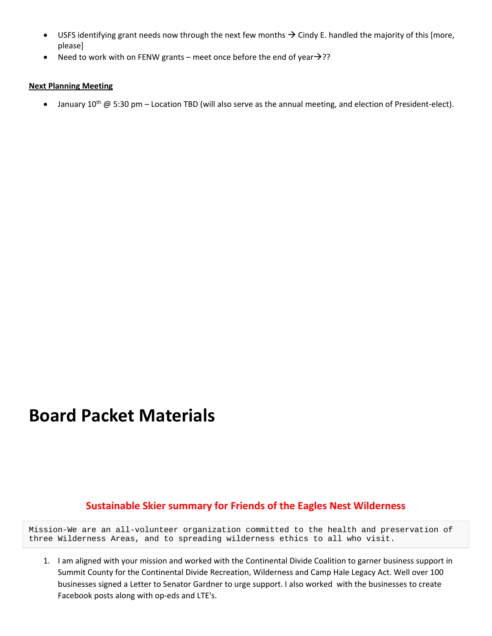- USFS identifying grant needs now through the next few months  $\rightarrow$  Cindy E. handled the majority of this [more, please]
- Need to work with on FENW grants meet once before the end of year  $\rightarrow$ ??

#### **Next Planning Meeting**

• January 10<sup>th</sup> @ 5:30 pm – Location TBD (will also serve as the annual meeting, and election of President-elect).

# **Board Packet Materials**

### **Sustainable Skier summary for Friends of the Eagles Nest Wilderness**

Mission-We are an all-volunteer organization committed to the health and preservation of three Wilderness Areas, and to spreading wilderness ethics to all who visit.

1. I am aligned with your mission and worked with the Continental Divide Coalition to garner business support in Summit County for the Continental Divide Recreation, Wilderness and Camp Hale Legacy Act. Well over 100 businesses signed a Letter to Senator Gardner to urge support. I also worked with the businesses to create Facebook posts along with op-eds and LTE's.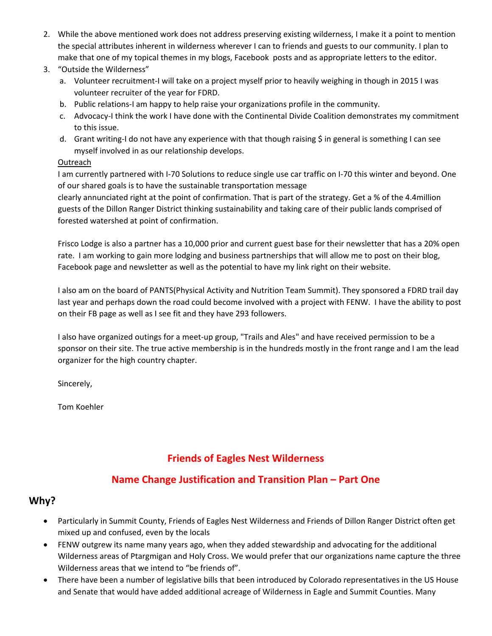2. While the above mentioned work does not address preserving existing wilderness, I make it a point to mention the special attributes inherent in wilderness wherever I can to friends and guests to our community. I plan to make that one of my topical themes in my blogs, Facebook posts and as appropriate letters to the editor.

### 3. "Outside the Wilderness"

- a. Volunteer recruitment‐I will take on a project myself prior to heavily weighing in though in 2015 I was volunteer recruiter of the year for FDRD.
- b. Public relations-I am happy to help raise your organizations profile in the community.
- c. Advocacy-I think the work I have done with the Continental Divide Coalition demonstrates my commitment to this issue.
- d. Grant writing-I do not have any experience with that though raising \$ in general is something I can see myself involved in as our relationship develops.

### **Outreach**

I am currently partnered with I‐70 Solutions to reduce single use car traffic on I‐70 this winter and beyond. One of our shared goals is to have the sustainable transportation message

clearly annunciated right at the point of confirmation. That is part of the strategy. Get a % of the 4.4million guests of the Dillon Ranger District thinking sustainability and taking care of their public lands comprised of forested watershed at point of confirmation.

Frisco Lodge is also a partner has a 10,000 prior and current guest base for their newsletter that has a 20% open rate. I am working to gain more lodging and business partnerships that will allow me to post on their blog, Facebook page and newsletter as well as the potential to have my link right on their website.

I also am on the board of PANTS(Physical Activity and Nutrition Team Summit). They sponsored a FDRD trail day last year and perhaps down the road could become involved with a project with FENW. I have the ability to post on their FB page as well as I see fit and they have 293 followers.

I also have organized outings for a meet-up group, "Trails and Ales" and have received permission to be a sponsor on their site. The true active membership is in the hundreds mostly in the front range and I am the lead organizer for the high country chapter.

Sincerely,

Tom Koehler

# **Friends of Eagles Nest Wilderness**

### **Name Change Justification and Transition Plan – Part One**

### **Why?**

- Particularly in Summit County, Friends of Eagles Nest Wilderness and Friends of Dillon Ranger District often get mixed up and confused, even by the locals
- FENW outgrew its name many years ago, when they added stewardship and advocating for the additional Wilderness areas of Ptargmigan and Holy Cross. We would prefer that our organizations name capture the three Wilderness areas that we intend to "be friends of".
- There have been a number of legislative bills that been introduced by Colorado representatives in the US House and Senate that would have added additional acreage of Wilderness in Eagle and Summit Counties. Many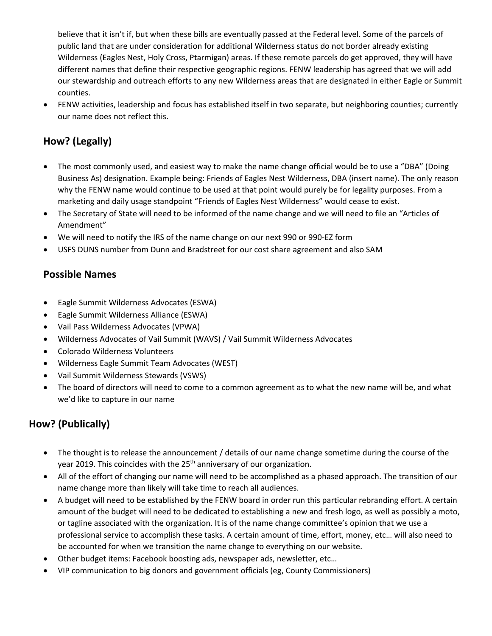believe that it isn't if, but when these bills are eventually passed at the Federal level. Some of the parcels of public land that are under consideration for additional Wilderness status do not border already existing Wilderness (Eagles Nest, Holy Cross, Ptarmigan) areas. If these remote parcels do get approved, they will have different names that define their respective geographic regions. FENW leadership has agreed that we will add our stewardship and outreach efforts to any new Wilderness areas that are designated in either Eagle or Summit counties.

 FENW activities, leadership and focus has established itself in two separate, but neighboring counties; currently our name does not reflect this.

# **How? (Legally)**

- The most commonly used, and easiest way to make the name change official would be to use a "DBA" (Doing Business As) designation. Example being: Friends of Eagles Nest Wilderness, DBA (insert name). The only reason why the FENW name would continue to be used at that point would purely be for legality purposes. From a marketing and daily usage standpoint "Friends of Eagles Nest Wilderness" would cease to exist.
- The Secretary of State will need to be informed of the name change and we will need to file an "Articles of Amendment"
- We will need to notify the IRS of the name change on our next 990 or 990‐EZ form
- USFS DUNS number from Dunn and Bradstreet for our cost share agreement and also SAM

### **Possible Names**

- Eagle Summit Wilderness Advocates (ESWA)
- Eagle Summit Wilderness Alliance (ESWA)
- Vail Pass Wilderness Advocates (VPWA)
- Wilderness Advocates of Vail Summit (WAVS) / Vail Summit Wilderness Advocates
- Colorado Wilderness Volunteers
- Wilderness Eagle Summit Team Advocates (WEST)
- Vail Summit Wilderness Stewards (VSWS)
- The board of directors will need to come to a common agreement as to what the new name will be, and what we'd like to capture in our name

# **How? (Publically)**

- The thought is to release the announcement / details of our name change sometime during the course of the year 2019. This coincides with the 25<sup>th</sup> anniversary of our organization.
- All of the effort of changing our name will need to be accomplished as a phased approach. The transition of our name change more than likely will take time to reach all audiences.
- A budget will need to be established by the FENW board in order run this particular rebranding effort. A certain amount of the budget will need to be dedicated to establishing a new and fresh logo, as well as possibly a moto, or tagline associated with the organization. It is of the name change committee's opinion that we use a professional service to accomplish these tasks. A certain amount of time, effort, money, etc… will also need to be accounted for when we transition the name change to everything on our website.
- Other budget items: Facebook boosting ads, newspaper ads, newsletter, etc…
- VIP communication to big donors and government officials (eg, County Commissioners)